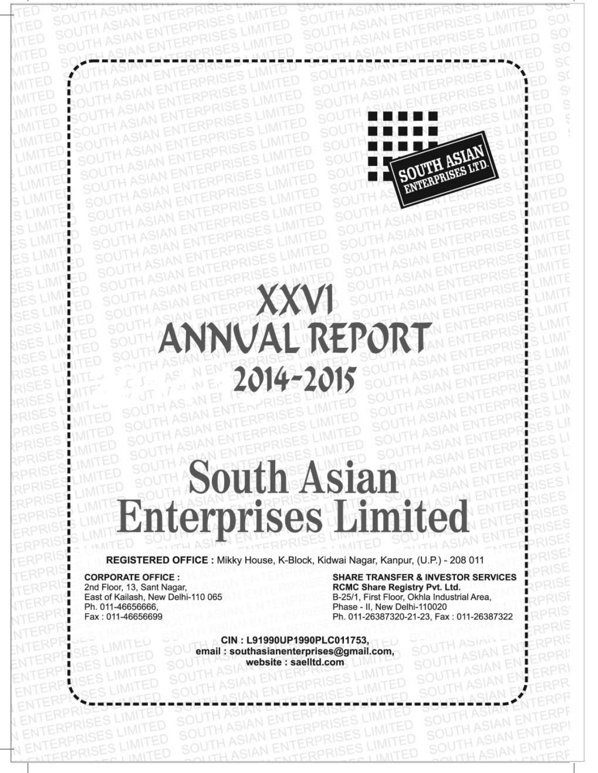# **XXV** ANNVAL REPOR 2014-2015

# **South Asian** Enterprises Limited

REGISTERED OFFICE : Mikky House, K-Block, Kidwai Nagar, Kanpur, (U.P.) - 208 011

## **CORPORATE OFFICE:**

2nd Floor, 13, Sant Nagar, East of Kailash, New Delhi-110 065 Ph. 011-46656666, Fax: 011-46656699

**SHARE TRANSFER & INVESTOR SERVICES RCMC Share Registry Pvt. Ltd.** B-25/1, First Floor, Okhla Industrial Area, Phase - II, New Delhi-110020 Ph. 011-26387320-21-23, Fax: 011-26387322

CIN: L91990UP1990PLC011753, email: southasianenterprises@gmail.com, website: saelltd.com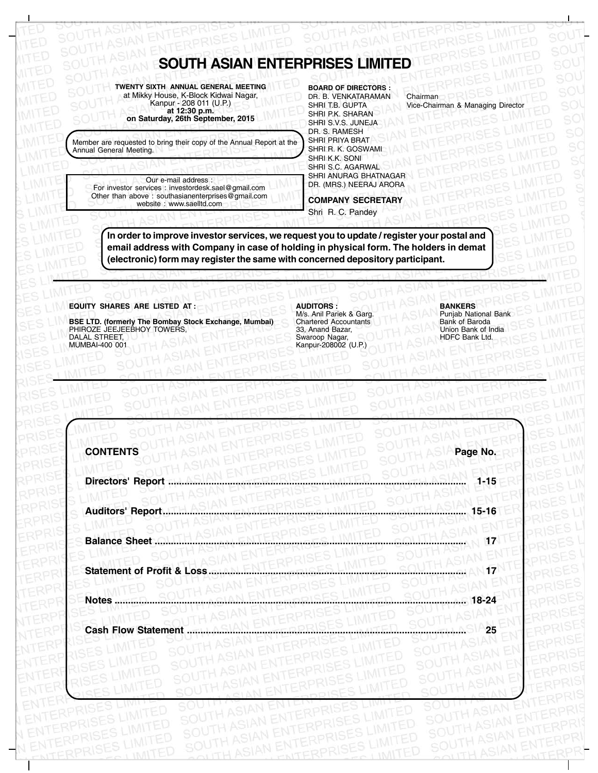**TWENTY SIXTH ANNUAL GENERAL MEETING** at Mikky House, K-Block Kidwai Nagar, Kanpur - 208 011 (U.P.) **at 12:30 p.m.**

**on Saturday, 26th September, 2015**

Member are requested to bring their copy of the Annual Report at the Annual General Meeting.

Our e-mail address : For investor services : investordesk.sael@gmail.com Other than above : southasianenterprises@gmail.com website : www.saelltd.com

**BOARD OF DIRECTORS :** DR. B. VENKATARAMAN Chairman SHRI T.B. GUPTA Vice-Chairman & Managing Director SHRI P.K. SHARAN SHRI S.V.S. JUNEJA DR. S. RAMESH SHRI PRIYA BRAT SHRI R. K. GOSWAMI SHRI K.K. SONI SHRI S.C. AGARWAL SHRI ANURAG BHATNAGAR DR. (MRS.) NEERAJ ARORA

**COMPANY SECRETARY** Shri R. C. Pandey

**In order to improve investor services, we request you to update / register your postal and email address with Company in case of holding in physical form. The holders in demat (electronic) form may register the same with concerned depository participant.**

**BSE LTD. (formerly The Bombay Stock Exchange, Mumbai)** Chartered Accountants Bank of Bank of Bank of Bank of Bank of Bank of Bank of Bank of Bank of Bank of Bank of Bank of Bank of Bank of Bank of Bank of Bank of Bank of PHIROZE JEEJEEBHOY TOWERS, ENTERPRISE 33, Anand Bazar, SOUTH ASIA Union Bank of India<br>DALAL STREET, UNION BANK Ltd. DALAL STREET, SWARD SWARD SWARD SWARD SWARD SWARD SWARD SWARD SWARD SWARD SWARD SWARD SWARD SWARD SWARD SWARD SWARD SWARD SWARD SWARD SWARD SWARD SWARD SWARD SWARD SWARD SWARD SWARD SWARD SWARD SWARD SWARD SWARD SWARD SWAR

**EQUITY SHARES ARE LISTED AT : AUDITORS : AUDITORS : AUDITORS : BANKERS**<br>M/s. Anil Pariek & Garg. **AUDITORS** : **M/s. Anil Pariek & Garg.** M/s. Anil Pariek & Garg. Punjab National Chartered Accountants Bank of Banda Kanpur-208002 (U.P.)

**CONTENTS Page No.**

| Directors' Report<br>SOUTH ASIAN ENTERPRISES LIMIT<br><b>BOUTH ASIAN</b><br>SOUTH ASIAN                                              | $-1.15$                                        |
|--------------------------------------------------------------------------------------------------------------------------------------|------------------------------------------------|
| Auditors' Report LT.H.ASIAN ENTERPRISES LIMITED                                                                                      | SIAN ENTE                                      |
| I ASIAN ENTERPRISES LIMITED                                                                                                          | $\frac{1}{2}$ 15-16                            |
| ASIAN ENTERPRISES                                                                                                                    | SOUTH ASIAN                                    |
| SOUTH ASIAN ENTERPRISES LIMITED<br>SOUTH<br>Balance Sheet<br>TH ASIAN ENTERPRISES                                                    | N ENTI<br><b>GOUTH ASIAI</b><br>SOUTH ASTAN 17 |
| Statement of Profit & Loss WAN ENTERPRISES LIMITED                                                                                   | SOUTH ASIAN ENT                                |
| SOUTH ASIAN ENTERPRISES LI                                                                                                           | SOUTH AGIAN 17N                                |
| SOUTH ASIAN ENTERPRISES LIMITED                                                                                                      | SOUTH ASIAN EN                                 |
| QUTH ASIAN ENTERPRISES LIMITED                                                                                                       | <b>SOUTHING 18-24</b>                          |
| Cash Flow Statement WHASIAN ENTERPRISES LIMITED                                                                                      | SOUTH ASIAN E                                  |
| SOUTH ASIAN ENTEREDERISES LIMITED                                                                                                    | SUUTHASIA25                                    |
| SOUTH ASIAN ENTERPRISES LIMITED                                                                                                      | SOUTH ASIANE                                   |
| SOUTH ASIAN ENTERPRISES LIMITED                                                                                                      | <b>IANE</b>                                    |
| <b>SES</b>                                                                                                                           | SOUTH                                          |
| $SES^{1.1}$                                                                                                                          | GIAN F                                         |
| SOUTH ASIAN ENTERPRISES LIMITED<br>SOUTH ASIAN ENTERPRISES LIMITED<br><b>SES</b><br>ASIAN ENTERPRISES LIMITED<br><b>ISES LIMITED</b> | SOUTH<br>SOUTH ASIAN<br>SOUTH ASIAN            |
| N ENTERPRISES LIM<br><b>ISES</b> LIMI<br>ENTERPRISES LIMITED<br>SOUTH<br>राSES<br>CAITEDDRICES LIMITED                               | CIAN<br>SOLIT<br>SIAN                          |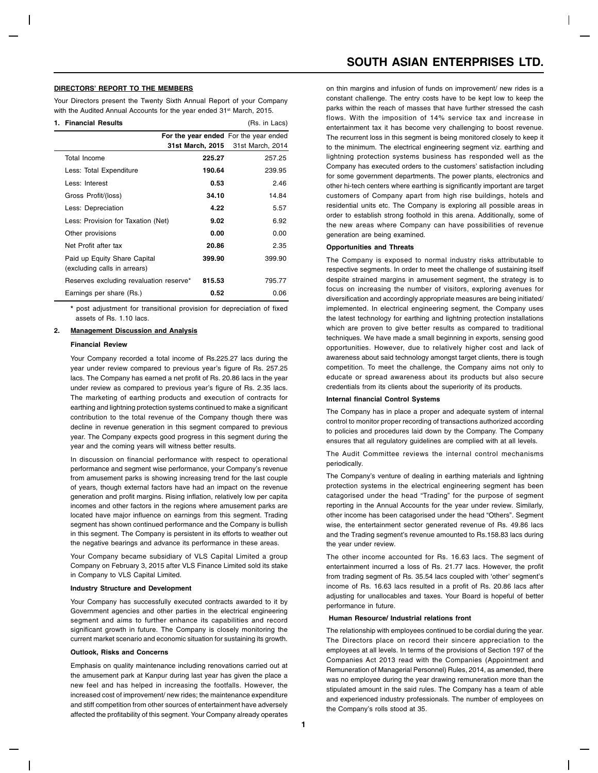### **DIRECTORS' REPORT TO THE MEMBERS**

Your Directors present the Twenty Sixth Annual Report of your Company with the Audited Annual Accounts for the year ended 31<sup>st</sup> March, 2015.

| 1. Financial Results                                         |        | (Rs. in Lacs)                         |
|--------------------------------------------------------------|--------|---------------------------------------|
|                                                              |        | For the year ended For the year ended |
|                                                              |        | 31st March, 2015 31st March, 2014     |
| Total Income                                                 | 225.27 | 257.25                                |
| Less: Total Expenditure                                      | 190.64 | 239.95                                |
| Less: Interest                                               | 0.53   | 2.46                                  |
| Gross Profit/(loss)                                          | 34.10  | 14.84                                 |
| Less: Depreciation                                           | 4.22   | 5.57                                  |
| Less: Provision for Taxation (Net)                           | 9.02   | 6.92                                  |
| Other provisions                                             | 0.00   | 0.00                                  |
| Net Profit after tax                                         | 20.86  | 2.35                                  |
| Paid up Equity Share Capital<br>(excluding calls in arrears) | 399.90 | 399.90                                |
| Reserves excluding revaluation reserve*                      | 815.53 | 795.77                                |
| Earnings per share (Rs.)                                     | 0.52   | 0.06                                  |

**\*** post adjustment for transitional provision for depreciation of fixed assets of Rs. 1.10 lacs.

#### **2. Management Discussion and Analysis**

#### **Financial Review**

Your Company recorded a total income of Rs.225.27 lacs during the year under review compared to previous year's figure of Rs. 257.25 lacs. The Company has earned a net profit of Rs. 20.86 lacs in the year under review as compared to previous year's figure of Rs. 2.35 lacs. The marketing of earthing products and execution of contracts for earthing and lightning protection systems continued to make a significant contribution to the total revenue of the Company though there was decline in revenue generation in this segment compared to previous year. The Company expects good progress in this segment during the year and the coming years will witness better results.

In discussion on financial performance with respect to operational performance and segment wise performance, your Company's revenue from amusement parks is showing increasing trend for the last couple of years, though external factors have had an impact on the revenue generation and profit margins. Rising inflation, relatively low per capita incomes and other factors in the regions where amusement parks are located have major influence on earnings from this segment. Trading segment has shown continued performance and the Company is bullish in this segment. The Company is persistent in its efforts to weather out the negative bearings and advance its performance in these areas.

Your Company became subsidiary of VLS Capital Limited a group Company on February 3, 2015 after VLS Finance Limited sold its stake in Company to VLS Capital Limited.

#### **Industry Structure and Development**

Your Company has successfully executed contracts awarded to it by Government agencies and other parties in the electrical engineering segment and aims to further enhance its capabilities and record significant growth in future. The Company is closely monitoring the current market scenario and economic situation for sustaining its growth.

#### **Outlook, Risks and Concerns**

Emphasis on quality maintenance including renovations carried out at the amusement park at Kanpur during last year has given the place a new feel and has helped in increasing the footfalls. However, the increased cost of improvement/ new rides; the maintenance expenditure and stiff competition from other sources of entertainment have adversely affected the profitability of this segment. Your Company already operates on thin margins and infusion of funds on improvement/ new rides is a constant challenge. The entry costs have to be kept low to keep the parks within the reach of masses that have further stressed the cash flows. With the imposition of 14% service tax and increase in entertainment tax it has become very challenging to boost revenue. The recurrent loss in this segment is being monitored closely to keep it to the minimum. The electrical engineering segment viz. earthing and lightning protection systems business has responded well as the Company has executed orders to the customers' satisfaction including for some government departments. The power plants, electronics and other hi-tech centers where earthing is significantly important are target customers of Company apart from high rise buildings, hotels and residential units etc. The Company is exploring all possible areas in order to establish strong foothold in this arena. Additionally, some of the new areas where Company can have possibilities of revenue generation are being examined.

#### **Opportunities and Threats**

The Company is exposed to normal industry risks attributable to respective segments. In order to meet the challenge of sustaining itself despite strained margins in amusement segment, the strategy is to focus on increasing the number of visitors, exploring avenues for diversification and accordingly appropriate measures are being initiated/ implemented. In electrical engineering segment, the Company uses the latest technology for earthing and lightning protection installations which are proven to give better results as compared to traditional techniques. We have made a small beginning in exports, sensing good opportunities. However, due to relatively higher cost and lack of awareness about said technology amongst target clients, there is tough competition. To meet the challenge, the Company aims not only to educate or spread awareness about its products but also secure credentials from its clients about the superiority of its products.

#### **Internal financial Control Systems**

The Company has in place a proper and adequate system of internal control to monitor proper recording of transactions authorized according to policies and procedures laid down by the Company. The Company ensures that all regulatory guidelines are complied with at all levels.

The Audit Committee reviews the internal control mechanisms periodically.

The Company's venture of dealing in earthing materials and lightning protection systems in the electrical engineering segment has been catagorised under the head "Trading" for the purpose of segment reporting in the Annual Accounts for the year under review. Similarly, other income has been catagorised under the head "Others". Segment wise, the entertainment sector generated revenue of Rs. 49.86 lacs and the Trading segment's revenue amounted to Rs.158.83 lacs during the year under review.

The other income accounted for Rs. 16.63 lacs. The segment of entertainment incurred a loss of Rs. 21.77 lacs. However, the profit from trading segment of Rs. 35.54 lacs coupled with 'other' segment's income of Rs. 16.63 lacs resulted in a profit of Rs. 20.86 lacs after adjusting for unallocables and taxes. Your Board is hopeful of better performance in future.

#### **Human Resource/ Industrial relations front**

The relationship with employees continued to be cordial during the year. The Directors place on record their sincere appreciation to the employees at all levels. In terms of the provisions of Section 197 of the Companies Act 2013 read with the Companies (Appointment and Remuneration of Managerial Personnel) Rules, 2014, as amended, there was no employee during the year drawing remuneration more than the stipulated amount in the said rules. The Company has a team of able and experienced industry professionals. The number of employees on the Company's rolls stood at 35.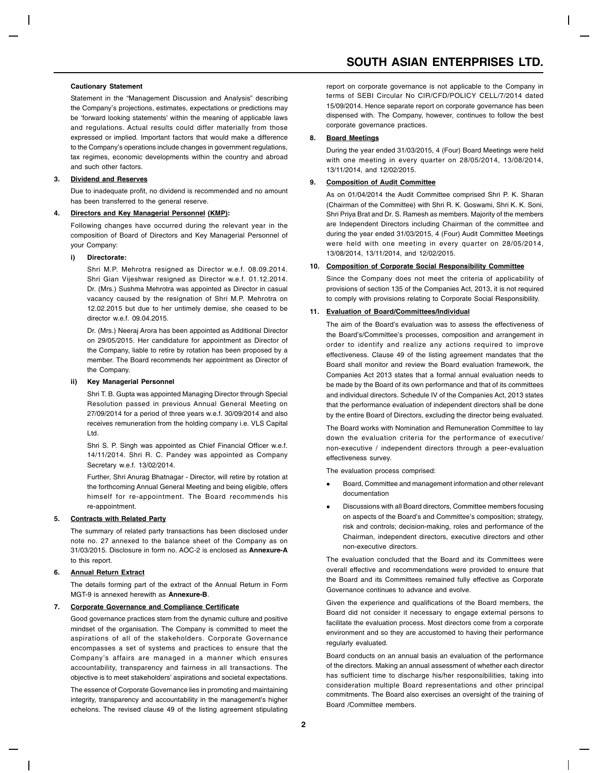#### **Cautionary Statement**

Statement in the "Management Discussion and Analysis" describing the Company's projections, estimates, expectations or predictions may be 'forward looking statements' within the meaning of applicable laws and regulations. Actual results could differ materially from those expressed or implied. Important factors that would make a difference to the Company's operations include changes in government regulations, tax regimes, economic developments within the country and abroad and such other factors.

#### **3. Dividend and Reserves**

Due to inadequate profit, no dividend is recommended and no amount has been transferred to the general reserve.

## **4. Directors and Key Managerial Personnel (KMP):**

Following changes have occurred during the relevant year in the composition of Board of Directors and Key Managerial Personnel of your Company:

#### **i) Directorate:**

Shri M.P. Mehrotra resigned as Director w.e.f. 08.09.2014. Shri Gian Vijeshwar resigned as Director w.e.f. 01.12.2014. Dr. (Mrs.) Sushma Mehrotra was appointed as Director in casual vacancy caused by the resignation of Shri M.P. Mehrotra on 12.02.2015 but due to her untimely demise, she ceased to be director w.e.f. 09.04.2015.

Dr. (Mrs.) Neeraj Arora has been appointed as Additional Director on 29/05/2015. Her candidature for appointment as Director of the Company, liable to retire by rotation has been proposed by a member. The Board recommends her appointment as Director of the Company.

## **ii) Key Managerial Personnel**

Shri T. B. Gupta was appointed Managing Director through Special Resolution passed in previous Annual General Meeting on 27/09/2014 for a period of three years w.e.f. 30/09/2014 and also receives remuneration from the holding company i.e. VLS Capital Ltd.

Shri S. P. Singh was appointed as Chief Financial Officer w.e.f. 14/11/2014. Shri R. C. Pandey was appointed as Company Secretary w.e.f. 13/02/2014.

Further, Shri Anurag Bhatnagar - Director, will retire by rotation at the forthcoming Annual General Meeting and being eligible, offers himself for re-appointment. The Board recommends his re-appointment.

#### **5. Contracts with Related Party**

The summary of related party transactions has been disclosed under note no. 27 annexed to the balance sheet of the Company as on 31/03/2015. Disclosure in form no. AOC-2 is enclosed as **Annexure-A** to this report.

#### **6. Annual Return Extract**

The details forming part of the extract of the Annual Return in Form MGT-9 is annexed herewith as **Annexure-B**.

## **7. Corporate Governance and Compliance Certificate**

Good governance practices stem from the dynamic culture and positive mindset of the organisation. The Company is committed to meet the aspirations of all of the stakeholders. Corporate Governance encompasses a set of systems and practices to ensure that the Company's affairs are managed in a manner which ensures accountability, transparency and fairness in all transactions. The objective is to meet stakeholders' aspirations and societal expectations.

The essence of Corporate Governance lies in promoting and maintaining integrity, transparency and accountability in the management's higher echelons. The revised clause 49 of the listing agreement stipulating

report on corporate governance is not applicable to the Company in terms of SEBI Circular No CIR/CFD/POLICY CELL/7/2014 dated 15/09/2014. Hence separate report on corporate governance has been dispensed with. The Company, however, continues to follow the best corporate governance practices.

## **8. Board Meetings**

During the year ended 31/03/2015, 4 (Four) Board Meetings were held with one meeting in every quarter on 28/05/2014, 13/08/2014, 13/11/2014, and 12/02/2015.

### **9. Composition of Audit Committee**

As on 01/04/2014 the Audit Committee comprised Shri P. K. Sharan (Chairman of the Committee) with Shri R. K. Goswami, Shri K. K. Soni, Shri Priya Brat and Dr. S. Ramesh as members. Majority of the members are Independent Directors including Chairman of the committee and during the year ended 31/03/2015, 4 (Four) Audit Committee Meetings were held with one meeting in every quarter on 28/05/2014, 13/08/2014, 13/11/2014, and 12/02/2015.

#### **10. Composition of Corporate Social Responsibility Committee**

Since the Company does not meet the criteria of applicability of provisions of section 135 of the Companies Act, 2013, it is not required to comply with provisions relating to Corporate Social Responsibility.

## **11. Evaluation of Board/Committees/Individual**

The aim of the Board's evaluation was to assess the effectiveness of the Board's/Committee's processes, composition and arrangement in order to identify and realize any actions required to improve effectiveness. Clause 49 of the listing agreement mandates that the Board shall monitor and review the Board evaluation framework, the Companies Act 2013 states that a formal annual evaluation needs to be made by the Board of its own performance and that of its committees and individual directors. Schedule IV of the Companies Act, 2013 states that the performance evaluation of independent directors shall be done by the entire Board of Directors, excluding the director being evaluated.

The Board works with Nomination and Remuneration Committee to lay down the evaluation criteria for the performance of executive/ non-executive / independent directors through a peer-evaluation effectiveness survey.

The evaluation process comprised:

- $\bullet$  Board, Committee and management information and other relevant documentation
- $\bullet$  Discussions with all Board directors, Committee members focusing on aspects of the Board's and Committee's composition; strategy, risk and controls; decision-making, roles and performance of the Chairman, independent directors, executive directors and other non-executive directors.

The evaluation concluded that the Board and its Committees were overall effective and recommendations were provided to ensure that the Board and its Committees remained fully effective as Corporate Governance continues to advance and evolve.

Given the experience and qualifications of the Board members, the Board did not consider it necessary to engage external persons to facilitate the evaluation process. Most directors come from a corporate environment and so they are accustomed to having their performance regularly evaluated.

Board conducts on an annual basis an evaluation of the performance of the directors. Making an annual assessment of whether each director has sufficient time to discharge his/her responsibilities, taking into consideration multiple Board representations and other principal commitments. The Board also exercises an oversight of the training of Board /Committee members.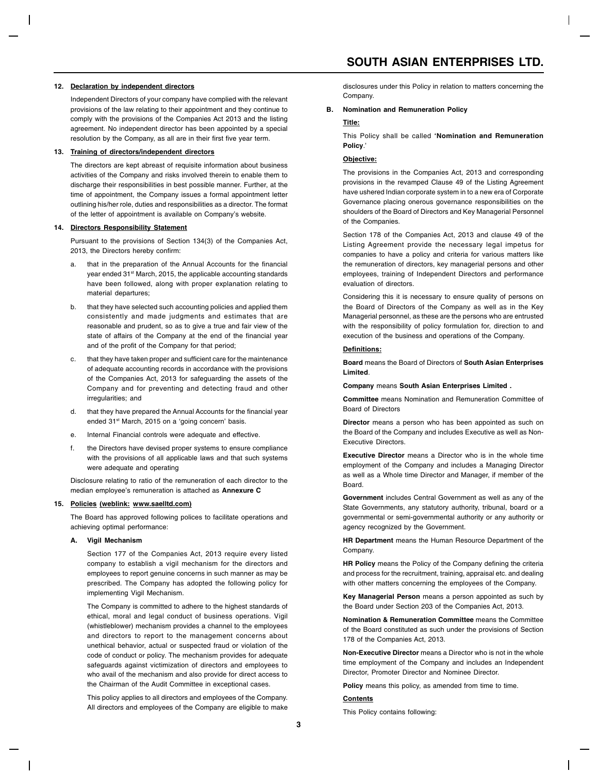## **12. Declaration by independent directors**

Independent Directors of your company have complied with the relevant provisions of the law relating to their appointment and they continue to comply with the provisions of the Companies Act 2013 and the listing agreement. No independent director has been appointed by a special resolution by the Company, as all are in their first five year term.

## **13. Training of directors/independent directors**

The directors are kept abreast of requisite information about business activities of the Company and risks involved therein to enable them to discharge their responsibilities in best possible manner. Further, at the time of appointment, the Company issues a formal appointment letter outlining his/her role, duties and responsibilities as a director. The format of the letter of appointment is available on Company's website.

#### **14. Directors Responsibility Statement**

Pursuant to the provisions of Section 134(3) of the Companies Act, 2013, the Directors hereby confirm:

- a. that in the preparation of the Annual Accounts for the financial year ended 31<sup>st</sup> March, 2015, the applicable accounting standards have been followed, along with proper explanation relating to material departures;
- b. that they have selected such accounting policies and applied them consistently and made judgments and estimates that are reasonable and prudent, so as to give a true and fair view of the state of affairs of the Company at the end of the financial year and of the profit of the Company for that period;
- c. that they have taken proper and sufficient care for the maintenance of adequate accounting records in accordance with the provisions of the Companies Act, 2013 for safeguarding the assets of the Company and for preventing and detecting fraud and other irregularities; and
- d. that they have prepared the Annual Accounts for the financial year ended 31<sup>st</sup> March, 2015 on a 'going concern' basis.
- e. Internal Financial controls were adequate and effective.
- f. the Directors have devised proper systems to ensure compliance with the provisions of all applicable laws and that such systems were adequate and operating

Disclosure relating to ratio of the remuneration of each director to the median employee's remuneration is attached as **Annexure C**

#### **15. Policies (weblink: www.saelltd.com)**

The Board has approved following polices to facilitate operations and achieving optimal performance:

#### **A. Vigil Mechanism**

Section 177 of the Companies Act, 2013 require every listed company to establish a vigil mechanism for the directors and employees to report genuine concerns in such manner as may be prescribed. The Company has adopted the following policy for implementing Vigil Mechanism.

The Company is committed to adhere to the highest standards of ethical, moral and legal conduct of business operations. Vigil (whistleblower) mechanism provides a channel to the employees and directors to report to the management concerns about unethical behavior, actual or suspected fraud or violation of the code of conduct or policy. The mechanism provides for adequate safeguards against victimization of directors and employees to who avail of the mechanism and also provide for direct access to the Chairman of the Audit Committee in exceptional cases.

This policy applies to all directors and employees of the Company. All directors and employees of the Company are eligible to make disclosures under this Policy in relation to matters concerning the Company.

#### **B. Nomination and Remuneration Policy**

#### **Title:**

This Policy shall be called **'Nomination and Remuneration Policy**.'

## **Objective:**

The provisions in the Companies Act, 2013 and corresponding provisions in the revamped Clause 49 of the Listing Agreement have ushered Indian corporate system in to a new era of Corporate Governance placing onerous governance responsibilities on the shoulders of the Board of Directors and Key Managerial Personnel of the Companies.

Section 178 of the Companies Act, 2013 and clause 49 of the Listing Agreement provide the necessary legal impetus for companies to have a policy and criteria for various matters like the remuneration of directors, key managerial persons and other employees, training of Independent Directors and performance evaluation of directors.

Considering this it is necessary to ensure quality of persons on the Board of Directors of the Company as well as in the Key Managerial personnel, as these are the persons who are entrusted with the responsibility of policy formulation for, direction to and execution of the business and operations of the Company.

#### **Definitions:**

**Board** means the Board of Directors of **South Asian Enterprises Limited**.

#### **Company** means **South Asian Enterprises Limited .**

**Committee** means Nomination and Remuneration Committee of Board of Directors

**Director** means a person who has been appointed as such on the Board of the Company and includes Executive as well as Non-Executive Directors.

**Executive Director** means a Director who is in the whole time employment of the Company and includes a Managing Director as well as a Whole time Director and Manager, if member of the Board.

**Government** includes Central Government as well as any of the State Governments, any statutory authority, tribunal, board or a governmental or semi-governmental authority or any authority or agency recognized by the Government.

**HR Department** means the Human Resource Department of the Company.

**HR Policy** means the Policy of the Company defining the criteria and process for the recruitment, training, appraisal etc. and dealing with other matters concerning the employees of the Company.

**Key Managerial Person** means a person appointed as such by the Board under Section 203 of the Companies Act, 2013.

**Nomination & Remuneration Committee** means the Committee of the Board constituted as such under the provisions of Section 178 of the Companies Act, 2013.

**Non-Executive Director** means a Director who is not in the whole time employment of the Company and includes an Independent Director, Promoter Director and Nominee Director.

Policy means this policy, as amended from time to time.

## **Contents**

This Policy contains following: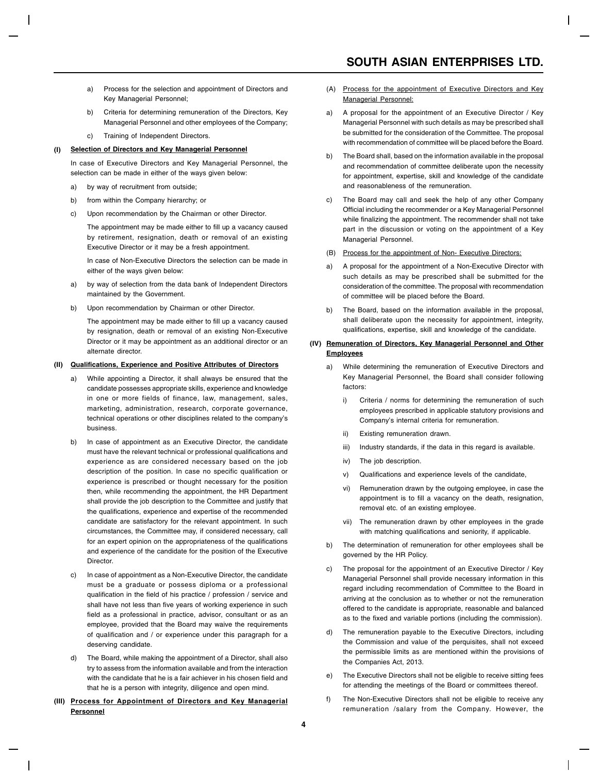- a) Process for the selection and appointment of Directors and Key Managerial Personnel;
- b) Criteria for determining remuneration of the Directors, Key Managerial Personnel and other employees of the Company;
- c) Training of Independent Directors.

## **(I) Selection of Directors and Key Managerial Personnel**

In case of Executive Directors and Key Managerial Personnel, the selection can be made in either of the ways given below:

- a) by way of recruitment from outside;
- b) from within the Company hierarchy; or
- c) Upon recommendation by the Chairman or other Director.

The appointment may be made either to fill up a vacancy caused by retirement, resignation, death or removal of an existing Executive Director or it may be a fresh appointment.

In case of Non-Executive Directors the selection can be made in either of the ways given below:

- a) by way of selection from the data bank of Independent Directors maintained by the Government.
- b) Upon recommendation by Chairman or other Director.

The appointment may be made either to fill up a vacancy caused by resignation, death or removal of an existing Non-Executive Director or it may be appointment as an additional director or an alternate director.

#### **(II) Qualifications, Experience and Positive Attributes of Directors**

- While appointing a Director, it shall always be ensured that the candidate possesses appropriate skills, experience and knowledge in one or more fields of finance, law, management, sales, marketing, administration, research, corporate governance, technical operations or other disciplines related to the company's business.
- b) In case of appointment as an Executive Director, the candidate must have the relevant technical or professional qualifications and experience as are considered necessary based on the job description of the position. In case no specific qualification or experience is prescribed or thought necessary for the position then, while recommending the appointment, the HR Department shall provide the job description to the Committee and justify that the qualifications, experience and expertise of the recommended candidate are satisfactory for the relevant appointment. In such circumstances, the Committee may, if considered necessary, call for an expert opinion on the appropriateness of the qualifications and experience of the candidate for the position of the Executive Director.
- c) In case of appointment as a Non-Executive Director, the candidate must be a graduate or possess diploma or a professional qualification in the field of his practice / profession / service and shall have not less than five years of working experience in such field as a professional in practice, advisor, consultant or as an employee, provided that the Board may waive the requirements of qualification and / or experience under this paragraph for a deserving candidate.
- d) The Board, while making the appointment of a Director, shall also try to assess from the information available and from the interaction with the candidate that he is a fair achiever in his chosen field and that he is a person with integrity, diligence and open mind.
- **(III) Process for Appointment of Directors and Key Managerial Personnel**
- (A) Process for the appointment of Executive Directors and Key Managerial Personnel:
- a) A proposal for the appointment of an Executive Director / Key Managerial Personnel with such details as may be prescribed shall be submitted for the consideration of the Committee. The proposal with recommendation of committee will be placed before the Board.
- b) The Board shall, based on the information available in the proposal and recommendation of committee deliberate upon the necessity for appointment, expertise, skill and knowledge of the candidate and reasonableness of the remuneration.
- c) The Board may call and seek the help of any other Company Official including the recommender or a Key Managerial Personnel while finalizing the appointment. The recommender shall not take part in the discussion or voting on the appointment of a Key Managerial Personnel.
- (B) Process for the appointment of Non- Executive Directors:
- a) A proposal for the appointment of a Non-Executive Director with such details as may be prescribed shall be submitted for the consideration of the committee. The proposal with recommendation of committee will be placed before the Board.
- b) The Board, based on the information available in the proposal, shall deliberate upon the necessity for appointment, integrity, qualifications, expertise, skill and knowledge of the candidate.

## **(IV) Remuneration of Directors, Key Managerial Personnel and Other Employees**

- a) While determining the remuneration of Executive Directors and Key Managerial Personnel, the Board shall consider following factors:
	- i) Criteria / norms for determining the remuneration of such employees prescribed in applicable statutory provisions and Company's internal criteria for remuneration.
	- ii) Existing remuneration drawn.
	- iii) Industry standards, if the data in this regard is available.
	- iv) The job description.
	- v) Qualifications and experience levels of the candidate,
	- vi) Remuneration drawn by the outgoing employee, in case the appointment is to fill a vacancy on the death, resignation, removal etc. of an existing employee.
	- vii) The remuneration drawn by other employees in the grade with matching qualifications and seniority, if applicable.
- b) The determination of remuneration for other employees shall be governed by the HR Policy.
- c) The proposal for the appointment of an Executive Director / Key Managerial Personnel shall provide necessary information in this regard including recommendation of Committee to the Board in arriving at the conclusion as to whether or not the remuneration offered to the candidate is appropriate, reasonable and balanced as to the fixed and variable portions (including the commission).
- d) The remuneration payable to the Executive Directors, including the Commission and value of the perquisites, shall not exceed the permissible limits as are mentioned within the provisions of the Companies Act, 2013.
- e) The Executive Directors shall not be eligible to receive sitting fees for attending the meetings of the Board or committees thereof.
- f) The Non-Executive Directors shall not be eligible to receive any remuneration /salary from the Company. However, the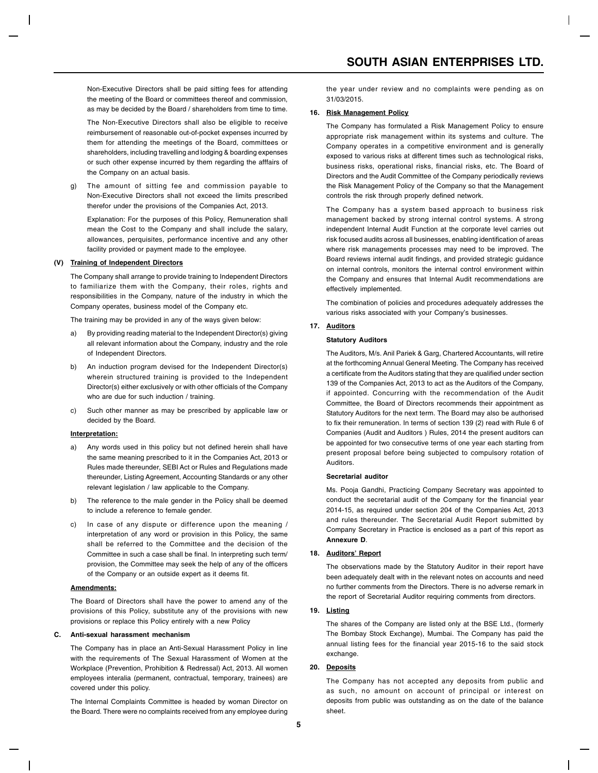Non-Executive Directors shall be paid sitting fees for attending the meeting of the Board or committees thereof and commission, as may be decided by the Board / shareholders from time to time.

The Non-Executive Directors shall also be eligible to receive reimbursement of reasonable out-of-pocket expenses incurred by them for attending the meetings of the Board, committees or shareholders, including travelling and lodging & boarding expenses or such other expense incurred by them regarding the afffairs of the Company on an actual basis.

g) The amount of sitting fee and commission payable to Non-Executive Directors shall not exceed the limits prescribed therefor under the provisions of the Companies Act, 2013.

Explanation: For the purposes of this Policy, Remuneration shall mean the Cost to the Company and shall include the salary, allowances, perquisites, performance incentive and any other facility provided or payment made to the employee.

## **(V) Training of Independent Directors**

The Company shall arrange to provide training to Independent Directors to familiarize them with the Company, their roles, rights and responsibilities in the Company, nature of the industry in which the Company operates, business model of the Company etc.

The training may be provided in any of the ways given below:

- a) By providing reading material to the Independent Director(s) giving all relevant information about the Company, industry and the role of Independent Directors.
- b) An induction program devised for the Independent Director(s) wherein structured training is provided to the Independent Director(s) either exclusively or with other officials of the Company who are due for such induction / training.
- c) Such other manner as may be prescribed by applicable law or decided by the Board.

#### **Interpretation:**

- a) Any words used in this policy but not defined herein shall have the same meaning prescribed to it in the Companies Act, 2013 or Rules made thereunder, SEBI Act or Rules and Regulations made thereunder, Listing Agreement, Accounting Standards or any other relevant legislation / law applicable to the Company.
- b) The reference to the male gender in the Policy shall be deemed to include a reference to female gender.
- c) In case of any dispute or difference upon the meaning / interpretation of any word or provision in this Policy, the same shall be referred to the Committee and the decision of the Committee in such a case shall be final. In interpreting such term/ provision, the Committee may seek the help of any of the officers of the Company or an outside expert as it deems fit.

#### **Amendments:**

The Board of Directors shall have the power to amend any of the provisions of this Policy, substitute any of the provisions with new provisions or replace this Policy entirely with a new Policy

## **C. Anti-sexual harassment mechanism**

The Company has in place an Anti-Sexual Harassment Policy in line with the requirements of The Sexual Harassment of Women at the Workplace (Prevention, Prohibition & Redressal) Act, 2013. All women employees interalia (permanent, contractual, temporary, trainees) are covered under this policy.

The Internal Complaints Committee is headed by woman Director on the Board. There were no complaints received from any employee during

the year under review and no complaints were pending as on 31/03/2015.

## **16. Risk Management Policy**

The Company has formulated a Risk Management Policy to ensure appropriate risk management within its systems and culture. The Company operates in a competitive environment and is generally exposed to various risks at different times such as technological risks, business risks, operational risks, financial risks, etc. The Board of Directors and the Audit Committee of the Company periodically reviews the Risk Management Policy of the Company so that the Management controls the risk through properly defined network.

The Company has a system based approach to business risk management backed by strong internal control systems. A strong independent Internal Audit Function at the corporate level carries out risk focused audits across all businesses, enabling identification of areas where risk managements processes may need to be improved. The Board reviews internal audit findings, and provided strategic guidance on internal controls, monitors the internal control environment within the Company and ensures that Internal Audit recommendations are effectively implemented.

The combination of policies and procedures adequately addresses the various risks associated with your Company's businesses.

## **17. Auditors**

#### **Statutory Auditors**

The Auditors, M/s. Anil Pariek & Garg, Chartered Accountants, will retire at the forthcoming Annual General Meeting. The Company has received a certificate from the Auditors stating that they are qualified under section 139 of the Companies Act, 2013 to act as the Auditors of the Company, if appointed. Concurring with the recommendation of the Audit Committee, the Board of Directors recommends their appointment as Statutory Auditors for the next term. The Board may also be authorised to fix their remuneration. In terms of section 139 (2) read with Rule 6 of Companies (Audit and Auditors ) Rules, 2014 the present auditors can be appointed for two consecutive terms of one year each starting from present proposal before being subjected to compulsory rotation of Auditors.

#### **Secretarial auditor**

Ms. Pooja Gandhi, Practicing Company Secretary was appointed to conduct the secretarial audit of the Company for the financial year 2014-15, as required under section 204 of the Companies Act, 2013 and rules thereunder. The Secretarial Audit Report submitted by Company Secretary in Practice is enclosed as a part of this report as **Annexure D**.

#### **18. Auditors' Report**

The observations made by the Statutory Auditor in their report have been adequately dealt with in the relevant notes on accounts and need no further comments from the Directors. There is no adverse remark in the report of Secretarial Auditor requiring comments from directors.

## **19. Listing**

The shares of the Company are listed only at the BSE Ltd., (formerly The Bombay Stock Exchange), Mumbai. The Company has paid the annual listing fees for the financial year 2015-16 to the said stock exchange.

## **20. Deposits**

The Company has not accepted any deposits from public and as such, no amount on account of principal or interest on deposits from public was outstanding as on the date of the balance sheet.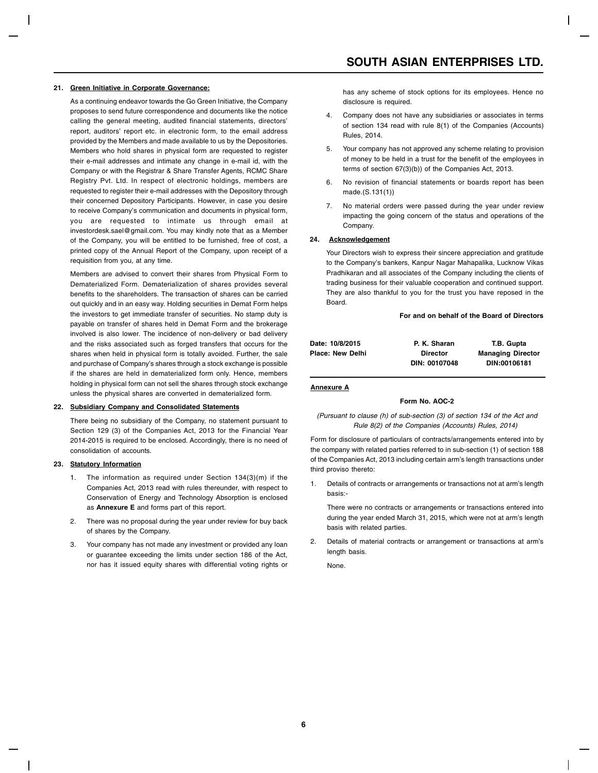## **21. Green Initiative in Corporate Governance:**

As a continuing endeavor towards the Go Green Initiative, the Company proposes to send future correspondence and documents like the notice calling the general meeting, audited financial statements, directors' report, auditors' report etc. in electronic form, to the email address provided by the Members and made available to us by the Depositories. Members who hold shares in physical form are requested to register their e-mail addresses and intimate any change in e-mail id, with the Company or with the Registrar & Share Transfer Agents, RCMC Share Registry Pvt. Ltd. In respect of electronic holdings, members are requested to register their e-mail addresses with the Depository through their concerned Depository Participants. However, in case you desire to receive Company's communication and documents in physical form, you are requested to intimate us through email at investordesk.sael@gmail.com. You may kindly note that as a Member of the Company, you will be entitled to be furnished, free of cost, a printed copy of the Annual Report of the Company, upon receipt of a requisition from you, at any time.

Members are advised to convert their shares from Physical Form to Dematerialized Form. Dematerialization of shares provides several benefits to the shareholders. The transaction of shares can be carried out quickly and in an easy way. Holding securities in Demat Form helps the investors to get immediate transfer of securities. No stamp duty is payable on transfer of shares held in Demat Form and the brokerage involved is also lower. The incidence of non-delivery or bad delivery and the risks associated such as forged transfers that occurs for the shares when held in physical form is totally avoided. Further, the sale and purchase of Company's shares through a stock exchange is possible if the shares are held in dematerialized form only. Hence, members holding in physical form can not sell the shares through stock exchange unless the physical shares are converted in dematerialized form.

## **22. Subsidiary Company and Consolidated Statements**

There being no subsidiary of the Company, no statement pursuant to Section 129 (3) of the Companies Act, 2013 for the Financial Year 2014-2015 is required to be enclosed. Accordingly, there is no need of consolidation of accounts.

#### **23. Statutory Information**

- 1. The information as required under Section 134(3)(m) if the Companies Act, 2013 read with rules thereunder, with respect to Conservation of Energy and Technology Absorption is enclosed as **Annexure E** and forms part of this report.
- 2. There was no proposal during the year under review for buy back of shares by the Company.
- 3. Your company has not made any investment or provided any loan or guarantee exceeding the limits under section 186 of the Act, nor has it issued equity shares with differential voting rights or

has any scheme of stock options for its employees. Hence no disclosure is required.

- 4. Company does not have any subsidiaries or associates in terms of section 134 read with rule 8(1) of the Companies (Accounts) Rules, 2014.
- Your company has not approved any scheme relating to provision of money to be held in a trust for the benefit of the employees in terms of section 67(3)(b)) of the Companies Act, 2013.
- 6. No revision of financial statements or boards report has been made.(S.131(1))
- 7. No material orders were passed during the year under review impacting the going concern of the status and operations of the Company.

#### **24. Acknowledgement**

Your Directors wish to express their sincere appreciation and gratitude to the Company's bankers, Kanpur Nagar Mahapalika, Lucknow Vikas Pradhikaran and all associates of the Company including the clients of trading business for their valuable cooperation and continued support. They are also thankful to you for the trust you have reposed in the Board.

## **For and on behalf of the Board of Directors**

| Date: 10/8/2015         | P. K. Sharan    | T.B. Gupta               |
|-------------------------|-----------------|--------------------------|
| <b>Place: New Delhi</b> | <b>Director</b> | <b>Managing Director</b> |
|                         | DIN: 00107048   | DIN:00106181             |

## **Annexure A**

**Form No. AOC-2** *(Pursuant to clause (h) of sub-section (3) of section 134 of the Act and Rule 8(2) of the Companies (Accounts) Rules, 2014)*

Form for disclosure of particulars of contracts/arrangements entered into by the company with related parties referred to in sub-section (1) of section 188 of the Companies Act, 2013 including certain arm's length transactions under third proviso thereto:

1. Details of contracts or arrangements or transactions not at arm's length basis:-

There were no contracts or arrangements or transactions entered into during the year ended March 31, 2015, which were not at arm's length basis with related parties.

2. Details of material contracts or arrangement or transactions at arm's length basis.

None.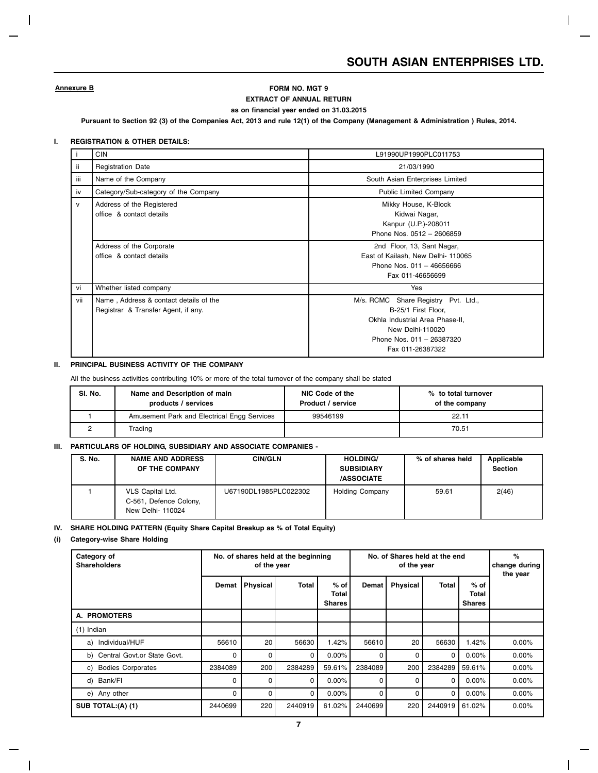## **Annexure B**

## **FORM NO. MGT 9 EXTRACT OF ANNUAL RETURN**

**as on financial year ended on 31.03.2015**

**Pursuant to Section 92 (3) of the Companies Act, 2013 and rule 12(1) of the Company (Management & Administration ) Rules, 2014.**

## **I. REGISTRATION & OTHER DETAILS:**

|              | <b>CIN</b>                                                                    | L91990UP1990PLC011753                                                                                                                                              |
|--------------|-------------------------------------------------------------------------------|--------------------------------------------------------------------------------------------------------------------------------------------------------------------|
| ii.          | <b>Registration Date</b>                                                      | 21/03/1990                                                                                                                                                         |
| iii          | Name of the Company                                                           | South Asian Enterprises Limited                                                                                                                                    |
| iv           | Category/Sub-category of the Company                                          | <b>Public Limited Company</b>                                                                                                                                      |
| $\mathsf{v}$ | Address of the Registered<br>office & contact details                         | Mikky House, K-Block<br>Kidwai Nagar,<br>Kanpur (U.P.)-208011<br>Phone Nos. 0512 - 2606859                                                                         |
|              | Address of the Corporate<br>office & contact details                          | 2nd Floor, 13, Sant Nagar,<br>East of Kailash, New Delhi- 110065<br>Phone Nos. 011 - 46656666<br>Fax 011-46656699                                                  |
| vi           | Whether listed company                                                        | Yes                                                                                                                                                                |
| vii          | Name, Address & contact details of the<br>Registrar & Transfer Agent, if any. | M/s. RCMC Share Registry Pvt. Ltd.,<br>B-25/1 First Floor,<br>Okhla Industrial Area Phase-II,<br>New Delhi-110020<br>Phone Nos. 011 - 26387320<br>Fax 011-26387322 |

## **II. PRINCIPAL BUSINESS ACTIVITY OF THE COMPANY**

All the business activities contributing 10% or more of the total turnover of the company shall be stated

| SI. No. | Name and Description of main<br>products / services | NIC Code of the<br>Product / service | % to total turnover<br>of the company |
|---------|-----------------------------------------------------|--------------------------------------|---------------------------------------|
|         | Amusement Park and Electrical Engg Services         | 99546199                             | 22.11                                 |
|         | Trading                                             |                                      | 70.51                                 |

## **III. PARTICULARS OF HOLDING, SUBSIDIARY AND ASSOCIATE COMPANIES -**

| S. No. | <b>NAME AND ADDRESS</b><br>OF THE COMPANY                       | <b>CIN/GLN</b>        | <b>HOLDING/</b><br><b>SUBSIDIARY</b><br><b>/ASSOCIATE</b> | % of shares held | Applicable<br><b>Section</b> |
|--------|-----------------------------------------------------------------|-----------------------|-----------------------------------------------------------|------------------|------------------------------|
|        | VLS Capital Ltd.<br>C-561, Defence Colony,<br>New Delhi- 110024 | U67190DL1985PLC022302 | <b>Holding Company</b>                                    | 59.61            | 2(46)                        |

**IV. SHARE HOLDING PATTERN (Equity Share Capital Breakup as % of Total Equity)**

## **(i) Category-wise Share Holding**

| Category of<br><b>Shareholders</b> | No. of shares held at the beginning<br>of the year |          |         | No. of Shares held at the end<br>of the year |          |          |             | $\%$<br>change during<br>the year |          |
|------------------------------------|----------------------------------------------------|----------|---------|----------------------------------------------|----------|----------|-------------|-----------------------------------|----------|
|                                    | Demat                                              | Physical | Total   | $%$ of<br>Total<br><b>Shares</b>             | Demat    | Physical | Total       | $%$ of<br>Total<br><b>Shares</b>  |          |
| A. PROMOTERS                       |                                                    |          |         |                                              |          |          |             |                                   |          |
| $(1)$ Indian                       |                                                    |          |         |                                              |          |          |             |                                   |          |
| Individual/HUF<br>a)               | 56610                                              | 20       | 56630   | 1.42%                                        | 56610    | 20       | 56630       | 1.42%                             | $0.00\%$ |
| Central Govt.or State Govt.<br>b)  | 0                                                  | 0        | 0       | $0.00\%$                                     | 0        | $\Omega$ | 0           | $0.00\%$                          | $0.00\%$ |
| <b>Bodies Corporates</b><br>C)     | 2384089                                            | 200      | 2384289 | 59.61%                                       | 2384089  | 200      | 2384289     | 59.61%                            | $0.00\%$ |
| d) Bank/FI                         | 0                                                  | 0        | 0       | $0.00\%$                                     | 0        |          | $\mathbf 0$ | $0.00\%$                          | $0.00\%$ |
| e) Any other                       | 0                                                  | 0        | 0       | $0.00\%$                                     | $\Omega$ |          | 0           | $0.00\%$                          | $0.00\%$ |
| SUB TOTAL:(A)(1)                   | 2440699                                            | 220      | 2440919 | 61.02%                                       | 2440699  | 220      | 2440919     | 61.02%                            | $0.00\%$ |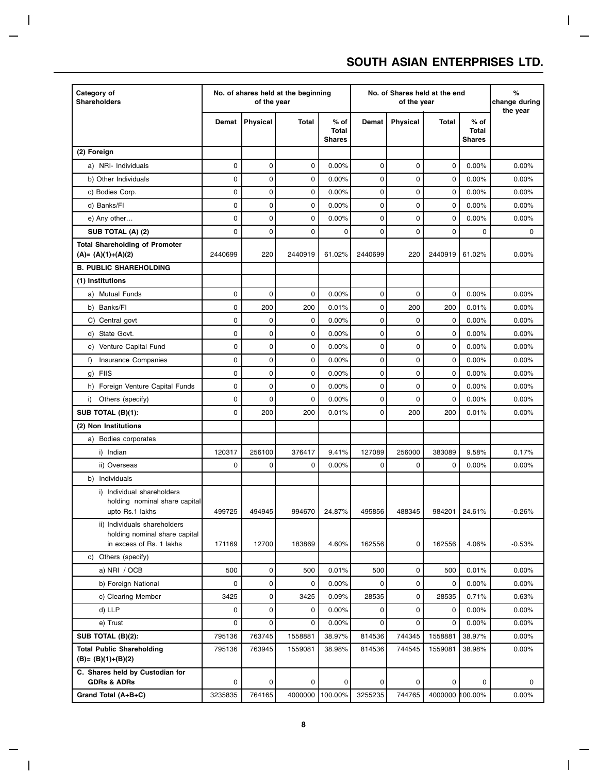$\overline{\phantom{a}}$ 

 $\overline{\phantom{a}}$ 

| Category of<br><b>Shareholders</b>                                                        | No. of shares held at the beginning<br>of the year |             |         | No. of Shares held at the end<br>of the year |         |             |                 | %<br>change during<br>the year          |          |
|-------------------------------------------------------------------------------------------|----------------------------------------------------|-------------|---------|----------------------------------------------|---------|-------------|-----------------|-----------------------------------------|----------|
|                                                                                           | Demat                                              | Physical    | Total   | % of<br><b>Total</b><br><b>Shares</b>        | Demat   | Physical    | <b>Total</b>    | $%$ of<br><b>Total</b><br><b>Shares</b> |          |
| (2) Foreign                                                                               |                                                    |             |         |                                              |         |             |                 |                                         |          |
| a) NRI- Individuals                                                                       | 0                                                  | 0           | 0       | 0.00%                                        | 0       | 0           | 0               | 0.00%                                   | 0.00%    |
| b) Other Individuals                                                                      | 0                                                  | $\mathbf 0$ | 0       | 0.00%                                        | 0       | 0           | $\mathbf 0$     | 0.00%                                   | 0.00%    |
| c) Bodies Corp.                                                                           | 0                                                  | $\mathbf 0$ | 0       | 0.00%                                        | 0       | 0           | $\mathbf 0$     | 0.00%                                   | 0.00%    |
| d) Banks/FI                                                                               | 0                                                  | 0           | 0       | 0.00%                                        | 0       | 0           | $\mathbf 0$     | 0.00%                                   | 0.00%    |
| e) Any other                                                                              | 0                                                  | $\mathbf 0$ | 0       | 0.00%                                        | 0       | 0           | 0               | $0.00\%$                                | 0.00%    |
| SUB TOTAL (A) (2)                                                                         | 0                                                  | 0           | 0       | 0                                            | 0       | 0           | 0               | 0                                       | 0        |
| <b>Total Shareholding of Promoter</b><br>$(A)=(A)(1)+(A)(2)$                              | 2440699                                            | 220         | 2440919 | 61.02%                                       | 2440699 | 220         | 2440919         | 61.02%                                  | $0.00\%$ |
| <b>B. PUBLIC SHAREHOLDING</b>                                                             |                                                    |             |         |                                              |         |             |                 |                                         |          |
| (1) Institutions                                                                          |                                                    |             |         |                                              |         |             |                 |                                         |          |
| a) Mutual Funds                                                                           | 0                                                  | $\mathbf 0$ | 0       | 0.00%                                        | 0       | 0           | 0               | $0.00\%$                                | 0.00%    |
| b) Banks/Fl                                                                               | 0                                                  | 200         | 200     | $0.01\%$                                     | 0       | 200         | 200             | 0.01%                                   | 0.00%    |
| C) Central govt                                                                           | 0                                                  | 0           | 0       | 0.00%                                        | 0       | 0           | 0               | 0.00%                                   | 0.00%    |
| State Govt.<br>d)                                                                         | 0                                                  | 0           | 0       | 0.00%                                        | 0       | 0           | 0               | 0.00%                                   | $0.00\%$ |
| Venture Capital Fund<br>e)                                                                | 0                                                  | 0           | 0       | $0.00\%$                                     | 0       | 0           | $\mathbf 0$     | $0.00\%$                                | 0.00%    |
| <b>Insurance Companies</b><br>f)                                                          | 0                                                  | $\mathbf 0$ | 0       | 0.00%                                        | 0       | 0           | $\mathbf 0$     | 0.00%                                   | 0.00%    |
| g) FIIS                                                                                   | 0                                                  | $\mathbf 0$ | 0       | 0.00%                                        | 0       | 0           | $\mathbf 0$     | $0.00\%$                                | 0.00%    |
| Foreign Venture Capital Funds<br>h)                                                       | 0                                                  | $\mathbf 0$ | 0       | 0.00%                                        | 0       | 0           | $\mathbf 0$     | 0.00%                                   | 0.00%    |
| Others (specify)<br>i)                                                                    | 0                                                  | 0           | 0       | 0.00%                                        | 0       | 0           | $\mathbf 0$     | $0.00\%$                                | 0.00%    |
| SUB TOTAL (B)(1):                                                                         | 0                                                  | 200         | 200     | 0.01%                                        | 0       | 200         | 200             | 0.01%                                   | 0.00%    |
| (2) Non Institutions                                                                      |                                                    |             |         |                                              |         |             |                 |                                         |          |
| a) Bodies corporates                                                                      |                                                    |             |         |                                              |         |             |                 |                                         |          |
| i) Indian                                                                                 | 120317                                             | 256100      | 376417  | 9.41%                                        | 127089  | 256000      | 383089          | 9.58%                                   | 0.17%    |
| ii) Overseas                                                                              | 0                                                  | 0           | 0       | 0.00%                                        | 0       | 0           | $\Omega$        | 0.00%                                   | $0.00\%$ |
| b) Individuals                                                                            |                                                    |             |         |                                              |         |             |                 |                                         |          |
| i) Individual shareholders<br>holding nominal share capital<br>upto Rs.1 lakhs            | 499725                                             | 494945      | 994670  | 24.87%                                       | 495856  | 488345      |                 | 984201 24.61%                           | $-0.26%$ |
| ii) Individuals shareholders<br>holding nominal share capital<br>in excess of Rs. 1 lakhs | 171169                                             | 12700       | 183869  | 4.60%                                        | 162556  | 0           | 162556          | 4.06%                                   | $-0.53%$ |
| c) Others (specify)                                                                       |                                                    |             |         |                                              |         |             |                 |                                         |          |
| a) NRI / OCB                                                                              | 500                                                | 0           | 500     | 0.01%                                        | 500     | $\mathbf 0$ | 500             | 0.01%                                   | 0.00%    |
| b) Foreign National                                                                       | 0                                                  | 0           | 0       | 0.00%                                        | 0       | 0           | $\mathbf 0$     | 0.00%                                   | 0.00%    |
| c) Clearing Member                                                                        | 3425                                               | 0           | 3425    | 0.09%                                        | 28535   | 0           | 28535           | 0.71%                                   | 0.63%    |
| d) LLP                                                                                    | 0                                                  | $\mathbf 0$ | 0       | 0.00%                                        | 0       | 0           | 0               | 0.00%                                   | 0.00%    |
| e) Trust                                                                                  | 0                                                  | $\mathbf 0$ | 0       | 0.00%                                        | 0       | 0           | 0               | 0.00%                                   | 0.00%    |
| SUB TOTAL (B)(2):                                                                         | 795136                                             | 763745      | 1558881 | 38.97%                                       | 814536  | 744345      | 1558881         | 38.97%                                  | 0.00%    |
| <b>Total Public Shareholding</b><br>$(B)=(B)(1)+(B)(2)$                                   | 795136                                             | 763945      | 1559081 | 38.98%                                       | 814536  | 744545      | 1559081         | 38.98%                                  | $0.00\%$ |
| C. Shares held by Custodian for<br><b>GDRs &amp; ADRs</b>                                 | 0                                                  | 0           | 0       | 0                                            | 0       | 0           | 0               | 0                                       | 0        |
| Grand Total (A+B+C)                                                                       | 3235835                                            | 764165      | 4000000 | 100.00%                                      | 3255235 | 744765      | 4000000 100.00% |                                         | 0.00%    |

 $\mathsf{l}$ 

 $\overline{1}$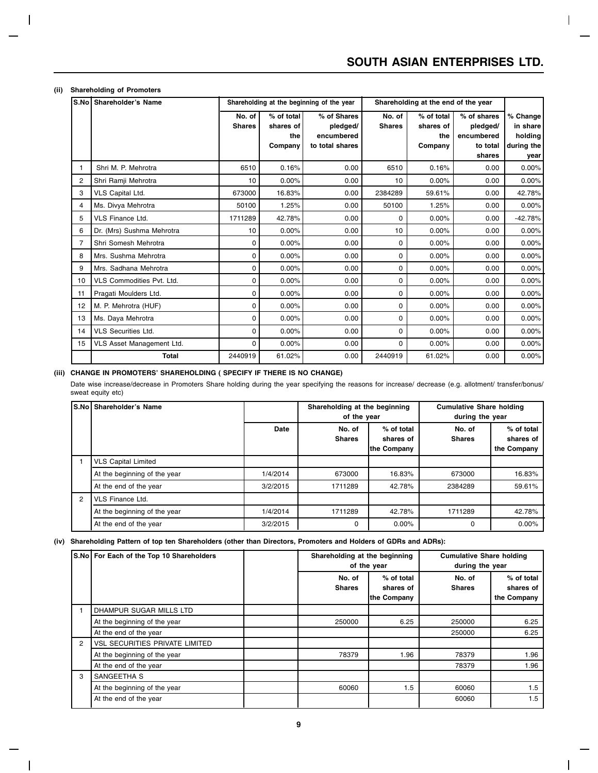## **(ii) Shareholding of Promoters**

 $\mathbf l$ 

|                | S.No Shareholder's Name    | Shareholding at the beginning of the year<br>Shareholding at the end of the year |                                           |                                                          |                         |                                           |                                                             |                                                       |
|----------------|----------------------------|----------------------------------------------------------------------------------|-------------------------------------------|----------------------------------------------------------|-------------------------|-------------------------------------------|-------------------------------------------------------------|-------------------------------------------------------|
|                |                            | No. of<br><b>Shares</b>                                                          | % of total<br>shares of<br>the<br>Company | % of Shares<br>pledged/<br>encumbered<br>to total shares | No. of<br><b>Shares</b> | % of total<br>shares of<br>the<br>Company | % of shares<br>pledged/<br>encumbered<br>to total<br>shares | % Change<br>in share<br>holding<br>during the<br>year |
| 1              | Shri M. P. Mehrotra        | 6510                                                                             | 0.16%                                     | 0.00                                                     | 6510                    | 0.16%                                     | 0.00                                                        | 0.00%                                                 |
| $\overline{2}$ | Shri Ramji Mehrotra        | 10                                                                               | 0.00%                                     | 0.00                                                     | 10                      | 0.00%                                     | 0.00                                                        | 0.00%                                                 |
| 3              | VLS Capital Ltd.           | 673000                                                                           | 16.83%                                    | 0.00                                                     | 2384289                 | 59.61%                                    | 0.00                                                        | 42.78%                                                |
| 4              | Ms. Divya Mehrotra         | 50100                                                                            | 1.25%                                     | 0.00                                                     | 50100                   | 1.25%                                     | 0.00                                                        | $0.00\%$                                              |
| 5              | VLS Finance Ltd.           | 1711289                                                                          | 42.78%                                    | 0.00                                                     | 0                       | $0.00\%$                                  | 0.00                                                        | $-42.78%$                                             |
| 6              | Dr. (Mrs) Sushma Mehrotra  | 10                                                                               | 0.00%                                     | 0.00                                                     | 10                      | 0.00%                                     | 0.00                                                        | 0.00%                                                 |
| 7              | Shri Somesh Mehrotra       | 0                                                                                | 0.00%                                     | 0.00                                                     | 0                       | 0.00%                                     | 0.00                                                        | $0.00\%$                                              |
| 8              | Mrs. Sushma Mehrotra       | 0                                                                                | 0.00%                                     | 0.00                                                     | 0                       | 0.00%                                     | 0.00                                                        | 0.00%                                                 |
| 9              | Mrs. Sadhana Mehrotra      | 0                                                                                | 0.00%                                     | 0.00                                                     | 0                       | 0.00%                                     | 0.00                                                        | 0.00%                                                 |
| 10             | VLS Commodities Pvt. Ltd.  | 0                                                                                | 0.00%                                     | 0.00                                                     | 0                       | 0.00%                                     | 0.00                                                        | 0.00%                                                 |
| 11             | Pragati Moulders Ltd.      | 0                                                                                | 0.00%                                     | 0.00                                                     | 0                       | 0.00%                                     | 0.00                                                        | 0.00%                                                 |
| 12             | M. P. Mehrotra (HUF)       | 0                                                                                | 0.00%                                     | 0.00                                                     | 0                       | 0.00%                                     | 0.00                                                        | 0.00%                                                 |
| 13             | Ms. Daya Mehrotra          | 0                                                                                | 0.00%                                     | 0.00                                                     | 0                       | 0.00%                                     | 0.00                                                        | 0.00%                                                 |
| 14             | <b>VLS Securities Ltd.</b> | 0                                                                                | 0.00%                                     | 0.00                                                     | 0                       | 0.00%                                     | 0.00                                                        | 0.00%                                                 |
| 15             | VLS Asset Management Ltd.  | 0                                                                                | 0.00%                                     | 0.00                                                     | 0                       | 0.00%                                     | 0.00                                                        | 0.00%                                                 |
|                | <b>Total</b>               | 2440919                                                                          | 61.02%                                    | 0.00                                                     | 2440919                 | 61.02%                                    | 0.00                                                        | 0.00%                                                 |

## **(iii) CHANGE IN PROMOTERS' SHAREHOLDING ( SPECIFY IF THERE IS NO CHANGE)**

Date wise increase/decrease in Promoters Share holding during the year specifying the reasons for increase/ decrease (e.g. allotment/ transfer/bonus/ sweat equity etc)

|                | <b>IS.No I Shareholder's Name</b> |          | Shareholding at the beginning<br><b>Cumulative Share holding</b><br>during the year<br>of the year |                                        |                         |                                        |
|----------------|-----------------------------------|----------|----------------------------------------------------------------------------------------------------|----------------------------------------|-------------------------|----------------------------------------|
|                |                                   | Date     | No. of<br><b>Shares</b>                                                                            | % of total<br>shares of<br>the Company | No. of<br><b>Shares</b> | % of total<br>shares of<br>the Company |
|                | <b>VLS Capital Limited</b>        |          |                                                                                                    |                                        |                         |                                        |
|                | At the beginning of the year      | 1/4/2014 | 673000                                                                                             | 16.83%                                 | 673000                  | 16.83%                                 |
|                | At the end of the year            | 3/2/2015 | 1711289                                                                                            | 42.78%                                 | 2384289                 | 59.61%                                 |
| $\overline{2}$ | VLS Finance Ltd.                  |          |                                                                                                    |                                        |                         |                                        |
|                | At the beginning of the year      | 1/4/2014 | 1711289                                                                                            | 42.78%                                 | 1711289                 | 42.78%                                 |
|                | At the end of the year            | 3/2/2015 | 0                                                                                                  | $0.00\%$                               | 0                       | $0.00\%$                               |

**(iv) Shareholding Pattern of top ten Shareholders (other than Directors, Promoters and Holders of GDRs and ADRs):**

|   | S.No For Each of the Top 10 Shareholders | Shareholding at the beginning | of the year                            | <b>Cumulative Share holding</b><br>during the year |                                        |  |
|---|------------------------------------------|-------------------------------|----------------------------------------|----------------------------------------------------|----------------------------------------|--|
|   |                                          | No. of<br><b>Shares</b>       | % of total<br>shares of<br>the Company | No. of<br><b>Shares</b>                            | % of total<br>shares of<br>the Company |  |
|   | DHAMPUR SUGAR MILLS LTD                  |                               |                                        |                                                    |                                        |  |
|   | At the beginning of the year             | 250000                        | 6.25                                   | 250000                                             | 6.25                                   |  |
|   | At the end of the year                   |                               |                                        | 250000                                             | 6.25                                   |  |
| 2 | <b>VSL SECURITIES PRIVATE LIMITED</b>    |                               |                                        |                                                    |                                        |  |
|   | At the beginning of the year             | 78379                         | 1.96                                   | 78379                                              | 1.96                                   |  |
|   | At the end of the year                   |                               |                                        | 78379                                              | 1.96                                   |  |
| 3 | SANGEETHA S                              |                               |                                        |                                                    |                                        |  |
|   | At the beginning of the year             | 60060                         | 1.5                                    | 60060                                              | 1.5                                    |  |
|   | At the end of the year                   |                               |                                        | 60060                                              | 1.5                                    |  |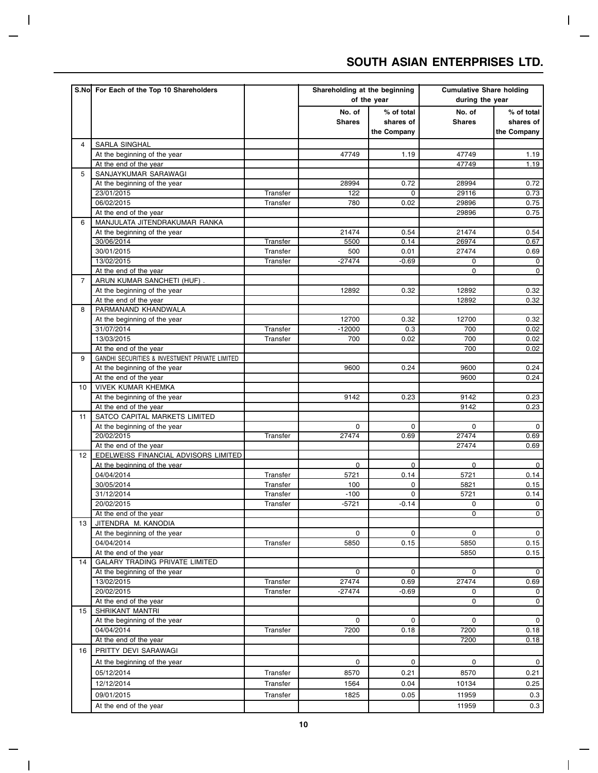$\overline{\phantom{a}}$ 

 $\overline{1}$ 

|                | S.No For Each of the Top 10 Shareholders                       |          | Shareholding at the beginning | of the year                            | <b>Cumulative Share holding</b><br>during the year |                                        |
|----------------|----------------------------------------------------------------|----------|-------------------------------|----------------------------------------|----------------------------------------------------|----------------------------------------|
|                |                                                                |          | No. of<br><b>Shares</b>       | % of total<br>shares of<br>the Company | No. of<br><b>Shares</b>                            | % of total<br>shares of<br>the Company |
| $\overline{4}$ | SARLA SINGHAL                                                  |          |                               |                                        |                                                    |                                        |
|                | At the beginning of the year                                   |          | 47749                         | 1.19                                   | 47749                                              | 1.19                                   |
|                | At the end of the year                                         |          |                               |                                        | 47749                                              | 1.19                                   |
| 5              | SANJAYKUMAR SARAWAGI                                           |          |                               |                                        |                                                    |                                        |
|                | At the beginning of the year                                   |          | 28994                         | 0.72                                   | 28994                                              | 0.72                                   |
|                | 23/01/2015                                                     | Transfer | 122                           | 0                                      | 29116                                              | 0.73                                   |
|                | 06/02/2015                                                     | Transfer | 780                           | 0.02                                   | 29896                                              | 0.75                                   |
|                | At the end of the year                                         |          |                               |                                        | 29896                                              | 0.75                                   |
| 6              | MANJULATA JITENDRAKUMAR RANKA                                  |          |                               |                                        |                                                    |                                        |
|                | At the beginning of the year                                   |          | 21474                         | 0.54                                   | 21474                                              | 0.54                                   |
|                | 30/06/2014                                                     | Transfer | 5500                          | 0.14                                   | 26974                                              | 0.67                                   |
|                | 30/01/2015<br>13/02/2015                                       | Transfer | 500                           | 0.01                                   | 27474                                              | 0.69                                   |
|                |                                                                | Transfer | $-27474$                      | $-0.69$                                | 0<br>0                                             | 0<br>$\mathbf 0$                       |
| $\overline{7}$ | At the end of the year<br>ARUN KUMAR SANCHETI (HUF).           |          |                               |                                        |                                                    |                                        |
|                | At the beginning of the year                                   |          | 12892                         | 0.32                                   | 12892                                              | 0.32                                   |
|                | At the end of the year                                         |          |                               |                                        | 12892                                              | 0.32                                   |
| 8              | PARMANAND KHANDWALA                                            |          |                               |                                        |                                                    |                                        |
|                | At the beginning of the year                                   |          | 12700                         | 0.32                                   | 12700                                              | 0.32                                   |
|                | 31/07/2014                                                     | Transfer | $-12000$                      | 0.3                                    | 700                                                | 0.02                                   |
|                | 13/03/2015                                                     | Transfer | 700                           | 0.02                                   | 700                                                | 0.02                                   |
|                | At the end of the year                                         |          |                               |                                        | 700                                                | 0.02                                   |
| 9              | GANDHI SECURITIES & INVESTMENT PRIVATE LIMITED                 |          |                               |                                        |                                                    |                                        |
|                | At the beginning of the year                                   |          | 9600                          | 0.24                                   | 9600                                               | 0.24                                   |
|                | At the end of the year                                         |          |                               |                                        | 9600                                               | 0.24                                   |
| 10             | <b>VIVEK KUMAR KHEMKA</b>                                      |          |                               |                                        |                                                    |                                        |
|                | At the beginning of the year                                   |          | 9142                          | 0.23                                   | 9142                                               | 0.23                                   |
|                | At the end of the year                                         |          |                               |                                        | 9142                                               | 0.23                                   |
| 11             | SATCO CAPITAL MARKETS LIMITED                                  |          |                               |                                        |                                                    |                                        |
|                | At the beginning of the year                                   |          | $\mathbf 0$                   | $\Omega$                               | $\Omega$                                           | $\mathbf 0$                            |
|                | 20/02/2015                                                     | Transfer | 27474                         | 0.69                                   | 27474                                              | 0.69                                   |
| 12             | At the end of the year<br>EDELWEISS FINANCIAL ADVISORS LIMITED |          |                               |                                        | 27474                                              | 0.69                                   |
|                | At the beginning of the year                                   |          | 0                             | 0                                      | $\mathbf 0$                                        | 0                                      |
|                | 04/04/2014                                                     | Transfer | 5721                          | 0.14                                   | 5721                                               | 0.14                                   |
|                | 30/05/2014                                                     | Transfer | 100                           | 0                                      | 5821                                               | 0.15                                   |
|                | 31/12/2014                                                     | Transfer | $-100$                        | 0                                      | 5721                                               | 0.14                                   |
|                | 20/02/2015                                                     | Transfer | $-5721$                       | $-0.14$                                | 0                                                  | 0                                      |
|                | At the end of the year                                         |          |                               |                                        | 0                                                  | 0                                      |
| 13             | JITENDRA M. KANODIA                                            |          |                               |                                        |                                                    |                                        |
|                | At the beginning of the year                                   |          | 0                             | 0                                      | $\mathbf 0$                                        | $\mathbf 0$                            |
|                | 04/04/2014                                                     | Transfer | 5850                          | 0.15                                   | 5850                                               | 0.15                                   |
|                | At the end of the year                                         |          |                               |                                        | 5850                                               | 0.15                                   |
| 14             | GALARY TRADING PRIVATE LIMITED                                 |          |                               |                                        |                                                    |                                        |
|                | At the beginning of the year                                   |          | $\mathbf 0$                   | 0                                      | $\mathbf 0$<br>27474                               | $\mathbf 0$                            |
|                | 13/02/2015<br>20/02/2015                                       | Transfer | 27474                         | 0.69<br>$-0.69$                        |                                                    | 0.69                                   |
|                | At the end of the year                                         | Transfer | $-27474$                      |                                        | 0<br>0                                             | 0<br>0                                 |
| 15             | SHRIKANT MANTRI                                                |          |                               |                                        |                                                    |                                        |
|                | At the beginning of the year                                   |          | 0                             | 0                                      | $\mathsf 0$                                        | 0                                      |
|                | 04/04/2014                                                     | Transfer | 7200                          | 0.18                                   | 7200                                               | 0.18                                   |
|                | At the end of the year                                         |          |                               |                                        | 7200                                               | 0.18                                   |
| 16             | PRITTY DEVI SARAWAGI                                           |          |                               |                                        |                                                    |                                        |
|                | At the beginning of the year                                   |          | 0                             | 0                                      | $\mathbf 0$                                        | 0                                      |
|                | 05/12/2014                                                     | Transfer | 8570                          | 0.21                                   | 8570                                               | 0.21                                   |
|                | 12/12/2014                                                     | Transfer | 1564                          | 0.04                                   | 10134                                              | 0.25                                   |
|                | 09/01/2015                                                     | Transfer | 1825                          | 0.05                                   | 11959                                              | 0.3                                    |
|                |                                                                |          |                               |                                        |                                                    |                                        |
|                | At the end of the year                                         |          |                               |                                        | 11959                                              | 0.3                                    |

 $\mathsf{l}$ 

 $\overline{1}$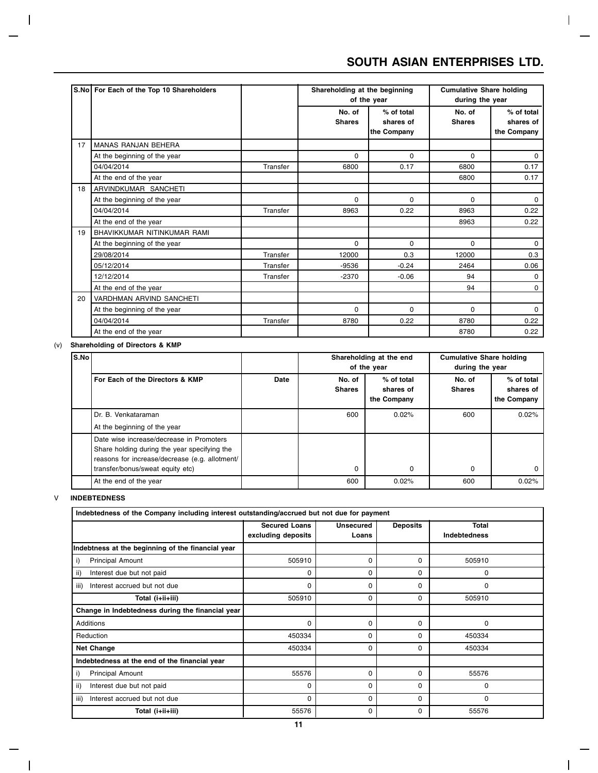$\overline{\phantom{a}}$ 

 $\mathsf{I}$ 

|    | S.No For Each of the Top 10 Shareholders |          | Shareholding at the beginning<br>of the year |                                        | <b>Cumulative Share holding</b><br>during the year |                                        |
|----|------------------------------------------|----------|----------------------------------------------|----------------------------------------|----------------------------------------------------|----------------------------------------|
|    |                                          |          | No. of<br><b>Shares</b>                      | % of total<br>shares of<br>the Company | No. of<br><b>Shares</b>                            | % of total<br>shares of<br>the Company |
| 17 | <b>MANAS RANJAN BEHERA</b>               |          |                                              |                                        |                                                    |                                        |
|    | At the beginning of the year             |          | $\Omega$                                     | $\Omega$                               | $\mathbf 0$                                        | $\mathbf 0$                            |
|    | 04/04/2014                               | Transfer | 6800                                         | 0.17                                   | 6800                                               | 0.17                                   |
|    | At the end of the year                   |          |                                              |                                        | 6800                                               | 0.17                                   |
| 18 | ARVINDKUMAR SANCHETI                     |          |                                              |                                        |                                                    |                                        |
|    | At the beginning of the year             |          | 0                                            | $\Omega$                               | $\Omega$                                           | $\Omega$                               |
|    | 04/04/2014                               | Transfer | 8963                                         | 0.22                                   | 8963                                               | 0.22                                   |
|    | At the end of the year                   |          |                                              |                                        | 8963                                               | 0.22                                   |
| 19 | BHAVIKKUMAR NITINKUMAR RAMI              |          |                                              |                                        |                                                    |                                        |
|    | At the beginning of the year             |          | 0                                            | 0                                      | 0                                                  | 0                                      |
|    | 29/08/2014                               | Transfer | 12000                                        | 0.3                                    | 12000                                              | 0.3                                    |
|    | 05/12/2014                               | Transfer | $-9536$                                      | $-0.24$                                | 2464                                               | 0.06                                   |
|    | 12/12/2014                               | Transfer | $-2370$                                      | $-0.06$                                | 94                                                 | $\Omega$                               |
|    | At the end of the year                   |          |                                              |                                        | 94                                                 | $\Omega$                               |
| 20 | <b>VARDHMAN ARVIND SANCHETI</b>          |          |                                              |                                        |                                                    |                                        |
|    | At the beginning of the year             |          | 0                                            | $\Omega$                               | 0                                                  | 0                                      |
|    | 04/04/2014                               | Transfer | 8780                                         | 0.22                                   | 8780                                               | 0.22                                   |
|    | At the end of the year                   |          |                                              |                                        | 8780                                               | 0.22                                   |

## (v) **Shareholding of Directors & KMP**

 $\overline{\phantom{a}}$ 

| ls.nol |                                                                                                                                                                                |             | Shareholding at the end<br>of the year |                                        | <b>Cumulative Share holding</b><br>during the year |                                        |
|--------|--------------------------------------------------------------------------------------------------------------------------------------------------------------------------------|-------------|----------------------------------------|----------------------------------------|----------------------------------------------------|----------------------------------------|
|        | For Each of the Directors & KMP                                                                                                                                                | <b>Date</b> | No. of<br><b>Shares</b>                | % of total<br>shares of<br>the Company | No. of<br><b>Shares</b>                            | % of total<br>shares of<br>the Company |
|        | Dr. B. Venkataraman<br>At the beginning of the year                                                                                                                            |             | 600                                    | 0.02%                                  | 600                                                | 0.02%                                  |
|        | Date wise increase/decrease in Promoters<br>Share holding during the year specifying the<br>reasons for increase/decrease (e.g. allotment/<br>transfer/bonus/sweat equity etc) |             | 0                                      | $\Omega$                               | 0                                                  |                                        |
|        | At the end of the year                                                                                                                                                         |             | 600                                    | 0.02%                                  | 600                                                | 0.02%                                  |

## V **INDEBTEDNESS**

 $\overline{1}$ 

| Indebtedness of the Company including interest outstanding/accrued but not due for payment |                                            |                           |                 |                       |  |
|--------------------------------------------------------------------------------------------|--------------------------------------------|---------------------------|-----------------|-----------------------|--|
|                                                                                            | <b>Secured Loans</b><br>excluding deposits | <b>Unsecured</b><br>Loans | <b>Deposits</b> | Total<br>Indebtedness |  |
| Indebtness at the beginning of the financial year                                          |                                            |                           |                 |                       |  |
| <b>Principal Amount</b><br>i)                                                              | 505910                                     | 0                         | 0               | 505910                |  |
| ii)<br>Interest due but not paid                                                           | $\Omega$                                   | 0                         | 0               | $\Omega$              |  |
| Interest accrued but not due<br>iii)                                                       | 0                                          | 0                         | 0               | 0                     |  |
| Total (i+ii+iii)                                                                           | 505910                                     | $\Omega$                  | $\Omega$        | 505910                |  |
| Change in Indebtedness during the financial year                                           |                                            |                           |                 |                       |  |
| <b>Additions</b>                                                                           | $\Omega$                                   | $\Omega$                  | $\Omega$        | $\Omega$              |  |
| Reduction                                                                                  | 450334                                     | 0                         | 0               | 450334                |  |
| <b>Net Change</b>                                                                          | 450334                                     | $\Omega$                  | 0               | 450334                |  |
| Indebtedness at the end of the financial year                                              |                                            |                           |                 |                       |  |
| <b>Principal Amount</b><br>i)                                                              | 55576                                      | 0                         | $\Omega$        | 55576                 |  |
| ii)<br>Interest due but not paid                                                           | $\Omega$                                   | $\Omega$                  | $\Omega$        | 0                     |  |
| Interest accrued but not due<br>iii)                                                       | $\Omega$                                   | 0                         | 0               | $\mathbf 0$           |  |
| Total (i+ii+iii)                                                                           | 55576                                      | 0                         | 0               | 55576                 |  |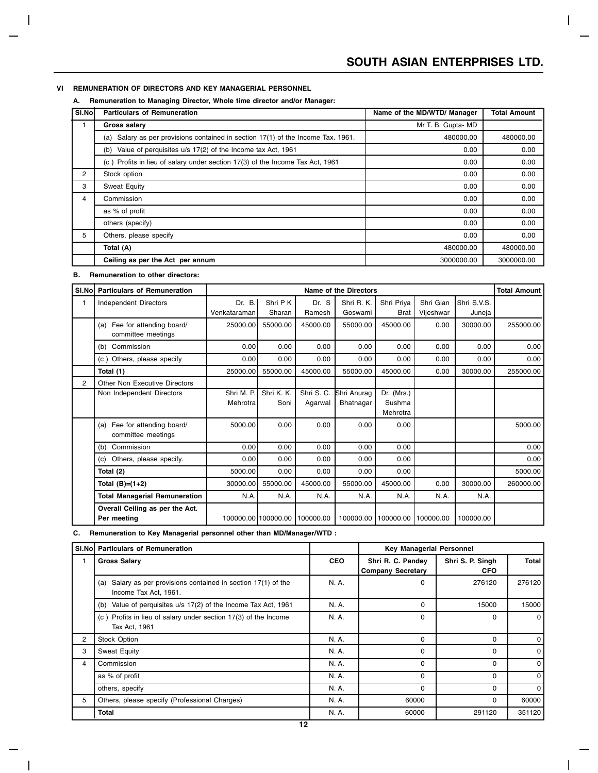$\overline{\phantom{a}}$ 

## **VI REMUNERATION OF DIRECTORS AND KEY MANAGERIAL PERSONNEL**

**A. Remuneration to Managing Director, Whole time director and/or Manager:**

| SI.No | <b>Particulars of Remuneration</b>                                                  | Name of the MD/WTD/ Manager | Total Amount |
|-------|-------------------------------------------------------------------------------------|-----------------------------|--------------|
|       | Gross salary                                                                        | Mr T. B. Gupta- MD          |              |
|       | Salary as per provisions contained in section 17(1) of the Income Tax. 1961.<br>(a) | 480000.00                   | 480000.00    |
|       | (b) Value of perquisites u/s 17(2) of the Income tax Act, 1961                      | 0.00                        | 0.00         |
|       | (c) Profits in lieu of salary under section 17(3) of the Income Tax Act, 1961       | 0.00                        | 0.00         |
| 2     | Stock option                                                                        | 0.00                        | 0.00         |
| 3     | Sweat Equity                                                                        | 0.00                        | 0.00         |
| 4     | Commission                                                                          | 0.00                        | 0.00         |
|       | as % of profit                                                                      | 0.00                        | 0.00         |
|       | others (specify)                                                                    | 0.00                        | 0.00         |
| 5     | Others, please specify                                                              | 0.00                        | 0.00         |
|       | Total (A)                                                                           | 480000.00                   | 480000.00    |
|       | Ceiling as per the Act per annum                                                    | 3000000.00                  | 3000000.00   |

## **B. Remuneration to other directors:**

|                | SI.No Particulars of Remuneration                     |                        |                    |                       | <b>Name of the Directors</b> |                                  |                        |                       | <b>Total Amount</b> |
|----------------|-------------------------------------------------------|------------------------|--------------------|-----------------------|------------------------------|----------------------------------|------------------------|-----------------------|---------------------|
| 1              | <b>Independent Directors</b>                          | Dr. B.<br>Venkataraman | Shri P K<br>Sharan | Dr. S<br>Ramesh       | Shri R. K.<br>Goswami        | Shri Priva<br>Brat               | Shri Gian<br>Vijeshwar | Shri S.V.S.<br>Juneja |                     |
|                | Fee for attending board/<br>(a)<br>committee meetings | 25000.00               | 55000.00           | 45000.00              | 55000.00                     | 45000.00                         | 0.00                   | 30000.00              | 255000.00           |
|                | Commission<br>(b)                                     | 0.00                   | 0.00               | 0.00                  | 0.00                         | 0.00                             | 0.00                   | 0.00                  | 0.00                |
|                | (c) Others, please specify                            | 0.00                   | 0.00               | 0.00                  | 0.00                         | 0.00                             | 0.00                   | 0.00                  | 0.00                |
|                | Total (1)                                             | 25000.00               | 55000.00           | 45000.00              | 55000.00                     | 45000.00                         | 0.00                   | 30000.00              | 255000.00           |
| $\overline{2}$ | Other Non Executive Directors                         |                        |                    |                       |                              |                                  |                        |                       |                     |
|                | Non Independent Directors                             | Shri M. P.<br>Mehrotra | Shri K. K.<br>Soni | Shri S. C.<br>Agarwal | Shri Anurag<br>Bhatnagar     | Dr. (Mrs.)<br>Sushma<br>Mehrotra |                        |                       |                     |
|                | Fee for attending board/<br>(a)<br>committee meetings | 5000.00                | 0.00               | 0.00                  | 0.00                         | 0.00                             |                        |                       | 5000.00             |
|                | Commission<br>(b)                                     | 0.00                   | 0.00               | 0.00                  | 0.00                         | 0.00                             |                        |                       | 0.00                |
|                | Others, please specify.<br>(c)                        | 0.00                   | 0.00               | 0.00                  | 0.00                         | 0.00                             |                        |                       | 0.00                |
|                | Total (2)                                             | 5000.00                | 0.00               | 0.00                  | 0.00                         | 0.00                             |                        |                       | 5000.00             |
|                | Total $(B)=(1+2)$                                     | 30000.00               | 55000.00           | 45000.00              | 55000.00                     | 45000.00                         | 0.00                   | 30000.00              | 260000.00           |
|                | <b>Total Managerial Remuneration</b>                  | N.A.                   | N.A.               | N.A.                  | N.A.                         | N.A.                             | N.A.                   | N.A.                  |                     |
|                | Overall Ceiling as per the Act.<br>Per meeting        | 100000.00 100000.00    |                    | 100000.00             | 100000.00                    | 100000.00                        | 100000.00              | 100000.00             |                     |

**C. Remuneration to Key Managerial personnel other than MD/Manager/WTD :**

| SI.Nol | <b>Particulars of Remuneration</b>                                                         |            | Key Managerial Personnel                      |                                |             |
|--------|--------------------------------------------------------------------------------------------|------------|-----------------------------------------------|--------------------------------|-------------|
|        | <b>Gross Salary</b>                                                                        | <b>CEO</b> | Shri R. C. Pandey<br><b>Company Secretary</b> | Shri S. P. Singh<br><b>CFO</b> | Total       |
|        | Salary as per provisions contained in section 17(1) of the<br>(a)<br>Income Tax Act, 1961. | N. A.      | 0                                             | 276120                         | 276120      |
|        | Value of perquisites u/s 17(2) of the Income Tax Act, 1961<br>(b)                          | N. A.      | 0                                             | 15000                          | 15000       |
|        | (c) Profits in lieu of salary under section 17(3) of the Income<br>Tax Act, 1961           | N. A.      | $\Omega$                                      | $\Omega$                       | $\Omega$    |
| 2      | Stock Option                                                                               | N. A.      | 0                                             | 0                              | $\mathbf 0$ |
| 3      | Sweat Equity                                                                               | N. A.      | 0                                             | 0                              | $\mathbf 0$ |
| 4      | Commission                                                                                 | N. A.      | 0                                             | $\Omega$                       | $\Omega$    |
|        | as % of profit                                                                             | N. A.      | $\Omega$                                      | 0                              | $\Omega$    |
|        | others, specify                                                                            | N. A.      | 0                                             | 0                              | $\Omega$    |
| 5      | Others, please specify (Professional Charges)                                              | N. A.      | 60000                                         | 0                              | 60000       |
|        | Total                                                                                      | N. A.      | 60000                                         | 291120                         | 351120      |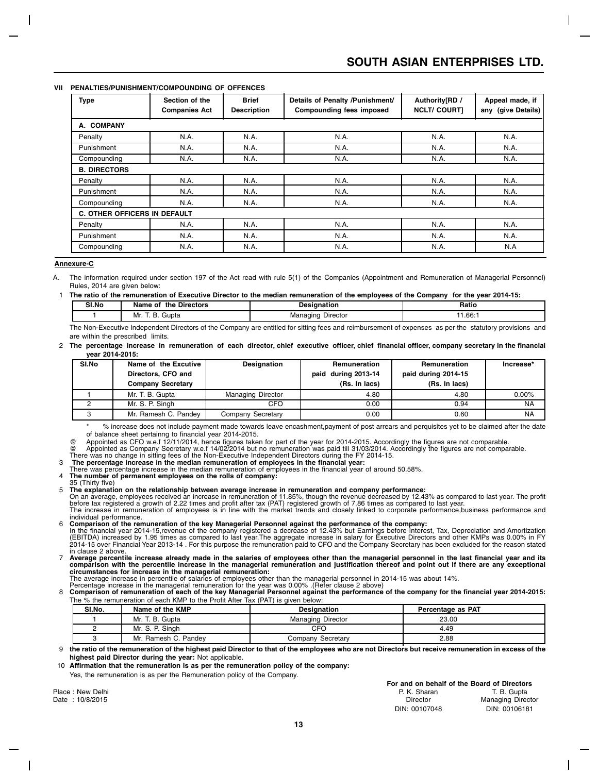## **VII PENALTIES/PUNISHMENT/COMPOUNDING OF OFFENCES**

| <b>Type</b>                         | Section of the<br><b>Companies Act</b> | <b>Brief</b><br><b>Description</b> | Details of Penalty /Punishment/<br>Compounding fees imposed | Authority[RD /<br><b>NCLT/ COURTI</b> | Appeal made, if<br>any (give Details) |  |  |
|-------------------------------------|----------------------------------------|------------------------------------|-------------------------------------------------------------|---------------------------------------|---------------------------------------|--|--|
| A. COMPANY                          |                                        |                                    |                                                             |                                       |                                       |  |  |
| Penalty                             | N.A.                                   | N.A.                               | N.A.                                                        | N.A.                                  | N.A.                                  |  |  |
| Punishment                          | N.A.                                   | N.A.                               | N.A.                                                        | N.A.                                  | N.A.                                  |  |  |
| Compounding                         | N.A.                                   | N.A.                               | N.A.                                                        | N.A.                                  | N.A.                                  |  |  |
| <b>B. DIRECTORS</b>                 |                                        |                                    |                                                             |                                       |                                       |  |  |
| Penalty                             | N.A.                                   | N.A.                               | N.A.                                                        | N.A.                                  | N.A.                                  |  |  |
| Punishment                          | N.A.                                   | N.A.                               | N.A.                                                        | N.A.                                  | N.A.                                  |  |  |
| Compounding                         | N.A.                                   | N.A.                               | N.A.                                                        | N.A.                                  | N.A.                                  |  |  |
| <b>C. OTHER OFFICERS IN DEFAULT</b> |                                        |                                    |                                                             |                                       |                                       |  |  |
| Penalty                             | N.A.                                   | N.A.                               | N.A.                                                        | N.A.                                  | N.A.                                  |  |  |
| Punishment                          | N.A.                                   | N.A.                               | N.A.                                                        | N.A.                                  | N.A.                                  |  |  |
| Compounding                         | N.A.                                   | N.A.                               | N.A.                                                        | N.A.                                  | N.A                                   |  |  |

#### **Annexure-C**

- A. The information required under section 197 of the Act read with rule 5(1) of the Companies (Appointment and Remuneration of Managerial Personnel) Rules, 2014 are given below:
- 1 **The ratio of the remuneration of Executive Director to the median remuneration of the employees of the Company for the year 2014-15:**

| SI.No | <b>Directors</b><br>Name of<br>the | Designation          | Ratio  |
|-------|------------------------------------|----------------------|--------|
|       | . .<br>Gupta<br>Mr.<br>. ب         | Director<br>Managing | 1.66:1 |

The Non-Executive Independent Directors of the Company are entitled for sitting fees and reimbursement of expenses as per the statutory provisions and are within the prescribed limits.

#### 2 **The percentage increase in remuneration of each director, chief executive officer, chief financial officer, company secretary in the financial year 2014-2015:**

| SI.No | Name of the Excutive I<br>Directors, CFO and<br><b>Company Secretary</b> | Designation              | Remuneration<br>during 2013-14<br>paid<br>(Rs. In lacs) | Remuneration<br>paid during 2014-15<br>(Rs. In lacs) | Increase* |
|-------|--------------------------------------------------------------------------|--------------------------|---------------------------------------------------------|------------------------------------------------------|-----------|
|       | Mr. T. B. Gupta                                                          | <b>Managing Director</b> | 4.80                                                    | 4.80                                                 | $0.00\%$  |
|       | Mr. S. P. Singh                                                          | CFO                      | 0.00                                                    | 0.94                                                 | <b>NA</b> |
|       | Mr. Ramesh C. Pandey                                                     | Company Secretary        | 0.00                                                    | 0.60                                                 | <b>NA</b> |

\* % increase does not include payment made towards leave encashment,payment of post arrears and perquisites yet to be claimed after the date of balance sheet pertainng to financial year 2014-2015.

<p>@ Appointed as CFO we.f 12/11/2014, hence figures taken for part of the year for 2014-2015. Accordingly the figures are not comparable.</p>\n<p>@ Appointed as Company Secretary we.f 14/02/2014 but no remuneration was paid till 31/03/2014. Accordingly the figures are not comparable. There was no change in sitting fees of the Non-Exsecutive Independence during the FY 2014-15.</p>\n<p>The percentage increase in the median remuneration of employees in the financial year: There was percentage increase in the median remuneration of employees in the financial year of around 50.58%.</p>

4 **The number of permanent employees on the rolls of company:**

5 **The explanation on the relationship between average increase in remuneration and company performance:**

On an average, employees received an increase in remuneration of 11.85%, though the revenue decreased by 12.43% as compared to last year. The profit<br>before tax registered a growth of 2.22 times and profit after tax (PAT) r individual performance.

6 Comparison of the remuneration of the key Managerial Personnel against the performance of the company:<br>In the financial year 2014-15, revenue of the company registered a decrease of 12.43% but Earnings before Interest, T in clause 2 above.

7 Average percentile increase already made in the salaries of employees other than the managerial personnel in the last financial year and its<br>comparison with the percentile increase in the managerial remuneration and just **circumstances for increase in the managerial remuneration:**

The average increase in percentile of salaries of employees other than the managerial personnel in 2014-15 was about 14%. Percentage increase in the managerial remuneration for the year was 0.00% .(Refer clause 2 above)

 8 **Comparison of remuneration of each of the key Managerial Personnel against the performance of the company for the financial year 2014-2015:** The % the remuneration of each KMP to the Profit After Tax (PAT) is given below:

| SI.No. | Name of the KMP      | <b>Designation</b>       | Percentage as PAT |
|--------|----------------------|--------------------------|-------------------|
|        | Mr. T. B. Gupta      | <b>Managing Director</b> | 23.00             |
|        | Mr. S. P. Singh      | CFC                      | 4.49              |
|        | Mr. Ramesh C. Pandev | Company Secretary        | 2.88              |

 9 **the ratio of the remuneration of the highest paid Director to that of the employees who are not Directors but receive remuneration in excess of the highest paid Director during the year:** Not applicable.

10 **Affirmation that the remuneration is as per the remuneration policy of the company:**

Yes, the remuneration is as per the Remuneration policy of the Company.

|                   | For and on behalf of the Board of Directors |                          |  |
|-------------------|---------------------------------------------|--------------------------|--|
| Place : New Delhi | P. K. Sharan                                | T. B. Gupta              |  |
| Date: 10/8/2015   | Director                                    | <b>Managing Director</b> |  |
|                   | DIN: 00107048                               | DIN: 00106181            |  |
|                   |                                             |                          |  |

<sup>35 (</sup>Thirty five)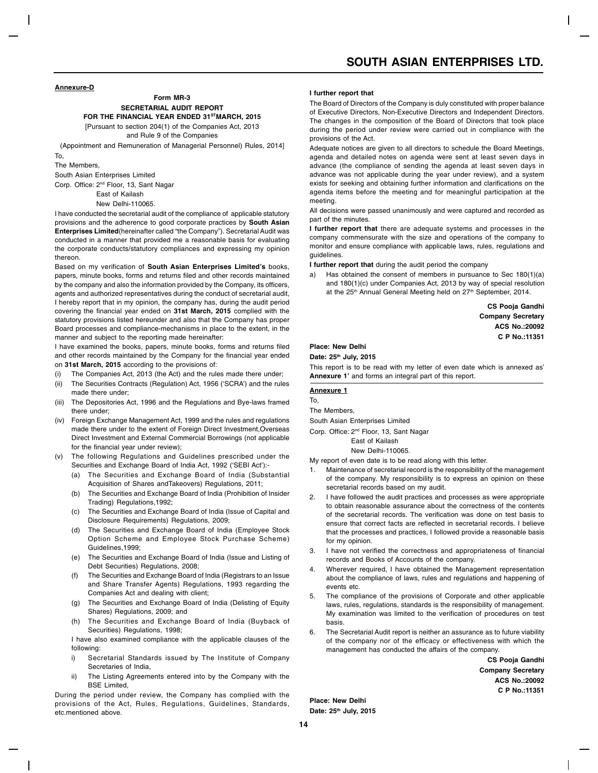## **Annexure-D**

## **Form MR-3 SECRETARIAL AUDIT REPORT FOR THE FINANCIAL YEAR ENDED 31STMARCH, 2015**

[Pursuant to section 204(1) of the Companies Act, 2013 and Rule 9 of the Companies

(Appointment and Remuneration of Managerial Personnel) Rules, 2014] To,

The Members,

South Asian Enterprises Limited

Corp. Office: 2nd Floor, 13, Sant Nagar

## East of Kailash

## New Delhi-110065.

I have conducted the secretarial audit of the compliance of applicable statutory provisions and the adherence to good corporate practices by **South Asian Enterprises Limited**(hereinafter called "the Company"). Secretarial Audit was conducted in a manner that provided me a reasonable basis for evaluating the corporate conducts/statutory compliances and expressing my opinion thereon.

Based on my verification of **South Asian Enterprises Limited's** books, papers, minute books, forms and returns filed and other records maintained by the company and also the information provided by the Company, its officers, agents and authorized representatives during the conduct of secretarial audit, I hereby report that in my opinion, the company has, during the audit period covering the financial year ended on **31st March, 2015** complied with the statutory provisions listed hereunder and also that the Company has proper Board processes and compliance-mechanisms in place to the extent, in the manner and subject to the reporting made hereinafter:

I have examined the books, papers, minute books, forms and returns filed and other records maintained by the Company for the financial year ended on **31st March, 2015** according to the provisions of:

- (i) The Companies Act, 2013 (the Act) and the rules made there under;
- (ii) The Securities Contracts (Regulation) Act, 1956 ('SCRA') and the rules made there under;
- (iii) The Depositories Act, 1996 and the Regulations and Bye-laws framed there under;
- (iv) Foreign Exchange Management Act, 1999 and the rules and regulations made there under to the extent of Foreign Direct Investment,Overseas Direct Investment and External Commercial Borrowings (not applicable for the financial year under review);
- (v) The following Regulations and Guidelines prescribed under the Securities and Exchange Board of India Act, 1992 ('SEBI Act'):-
	- (a) The Securities and Exchange Board of India (Substantial Acquisition of Shares andTakeovers) Regulations, 2011;
	- (b) The Securities and Exchange Board of India (Prohibition of Insider Trading) Regulations,1992;
	- (c) The Securities and Exchange Board of India (Issue of Capital and Disclosure Requirements) Regulations, 2009;
	- (d) The Securities and Exchange Board of India (Employee Stock Option Scheme and Employee Stock Purchase Scheme) Guidelines,1999;
	- (e) The Securities and Exchange Board of India (Issue and Listing of Debt Securities) Regulations, 2008;
	- (f) The Securities and Exchange Board of India (Registrars to an Issue and Share Transfer Agents) Regulations, 1993 regarding the Companies Act and dealing with client;
	- (g) The Securities and Exchange Board of India (Delisting of Equity Shares) Regulations, 2009; and
	- (h) The Securities and Exchange Board of India (Buyback of Securities) Regulations, 1998;

I have also examined compliance with the applicable clauses of the following:

- i) Secretarial Standards issued by The Institute of Company Secretaries of India,
- ii) The Listing Agreements entered into by the Company with the BSE Limited,

During the period under review, the Company has complied with the provisions of the Act, Rules, Regulations, Guidelines, Standards, etc.mentioned above.

#### **I further report that**

The Board of Directors of the Company is duly constituted with proper balance of Executive Directors, Non-Executive Directors and Independent Directors. The changes in the composition of the Board of Directors that took place during the period under review were carried out in compliance with the provisions of the Act.

Adequate notices are given to all directors to schedule the Board Meetings, agenda and detailed notes on agenda were sent at least seven days in advance (the compliance of sending the agenda at least seven days in advance was not applicable during the year under review), and a system exists for seeking and obtaining further information and clarifications on the agenda items before the meeting and for meaningful participation at the meeting.

All decisions were passed unanimously and were captured and recorded as part of the minutes.

**I further report that** there are adequate systems and processes in the company commensurate with the size and operations of the company to monitor and ensure compliance with applicable laws, rules, regulations and guidelines.

**I further report that** during the audit period the company

Has obtained the consent of members in pursuance to Sec  $180(1)(a)$ and 180(1)(c) under Companies Act, 2013 by way of special resolution at the 25<sup>th</sup> Annual General Meeting held on 27<sup>th</sup> September, 2014.

> **CS Pooja Gandhi Company Secretary ACS No.:20092 C P No.:11351**

#### **Place: New Delhi**

#### **Date: 25th July, 2015**

This report is to be read with my letter of even date which is annexed as' **Annexure 1'** and forms an integral part of this report.

## **Annexure 1**

#### To, The Members,

South Asian Enterprises Limited Corp. Office: 2nd Floor, 13, Sant Nagar East of Kailash

#### New Delhi-110065.

My report of even date is to be read along with this letter.

- 1. Maintenance of secretarial record is the responsibility of the management of the company. My responsibility is to express an opinion on these secretarial records based on my audit.
- 2. I have followed the audit practices and processes as were appropriate to obtain reasonable assurance about the correctness of the contents of the secretarial records. The verification was done on test basis to ensure that correct facts are reflected in secretarial records. I believe that the processes and practices, I followed provide a reasonable basis for my opinion.
- I have not verified the correctness and appropriateness of financial records and Books of Accounts of the company.
- Wherever required, I have obtained the Management representation about the compliance of laws, rules and regulations and happening of events etc.
- The compliance of the provisions of Corporate and other applicable laws, rules, regulations, standards is the responsibility of management. My examination was limited to the verification of procedures on test basis.
- The Secretarial Audit report is neither an assurance as to future viability of the company nor of the efficacy or effectiveness with which the management has conducted the affairs of the company.

**CS Pooja Gandhi Company Secretary ACS No.:20092 C P No.:11351**

**Place: New Delhi Date: 25th July, 2015**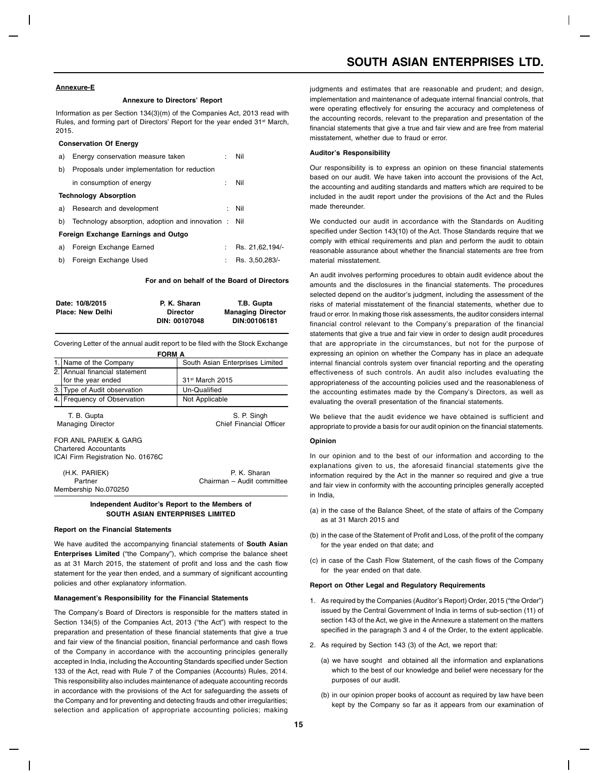## **Annexure-E**

#### **Annexure to Directors' Report**

Information as per Section 134(3)(m) of the Companies Act, 2013 read with Rules, and forming part of Directors' Report for the year ended 31<sup>st</sup> March, 2015.

## **Conservation Of Energy**

| a)                                  | Energy conservation measure taken                    | $\mathcal{L}$ | Nil             |  |  |  |
|-------------------------------------|------------------------------------------------------|---------------|-----------------|--|--|--|
| b)                                  | Proposals under implementation for reduction         |               |                 |  |  |  |
|                                     | in consumption of energy                             | $\mathcal{L}$ | Nil             |  |  |  |
|                                     | <b>Technology Absorption</b>                         |               |                 |  |  |  |
| a)                                  | Research and development                             |               | : Nil           |  |  |  |
| b)                                  | Technology absorption, adoption and innovation : Nil |               |                 |  |  |  |
| Foreign Exchange Earnings and Outgo |                                                      |               |                 |  |  |  |
| a)                                  | Foreign Exchange Earned                              | ÷             | Rs. 21,62,194/- |  |  |  |
|                                     | b) Foreign Exchange Used                             | ÷             | Rs. 3,50,283/-  |  |  |  |

#### **For and on behalf of the Board of Directors**

| Date: 10/8/2015         | P. K. Sharan    | T.B. Gupta               |
|-------------------------|-----------------|--------------------------|
| <b>Place: New Delhi</b> | <b>Director</b> | <b>Managing Director</b> |
|                         | DIN: 00107048   | DIN:00106181             |

Covering Letter of the annual audit report to be filed with the Stock Exchange **FORM A**

| гүпм а                        |                                 |  |  |  |  |  |  |
|-------------------------------|---------------------------------|--|--|--|--|--|--|
| 1. Name of the Company        | South Asian Enterprises Limited |  |  |  |  |  |  |
| 2. Annual financial statement |                                 |  |  |  |  |  |  |
| for the year ended            | 31st March 2015                 |  |  |  |  |  |  |
| 3. Type of Audit observation  | Un-Qualified                    |  |  |  |  |  |  |
| 4. Frequency of Observation   | Not Applicable                  |  |  |  |  |  |  |
| T. B. Gupta                   | S. P. Singh                     |  |  |  |  |  |  |

Managing Director **Chief Financial Officer** 

FOR ANIL PARIEK & GARG Chartered Accountants ICAI Firm Registration No. 01676C

| (H.K. PARIEK)        | P. K. Sharan               |
|----------------------|----------------------------|
| Partner              | Chairman - Audit committee |
| Membership No.070250 |                            |

## **Independent Auditor's Report to the Members of SOUTH ASIAN ENTERPRISES LIMITED**

#### **Report on the Financial Statements**

We have audited the accompanying financial statements of **South Asian Enterprises Limited** ("the Company"), which comprise the balance sheet as at 31 March 2015, the statement of profit and loss and the cash flow statement for the year then ended, and a summary of significant accounting policies and other explanatory information.

## **Management's Responsibility for the Financial Statements**

The Company's Board of Directors is responsible for the matters stated in Section 134(5) of the Companies Act, 2013 ("the Act") with respect to the preparation and presentation of these financial statements that give a true and fair view of the financial position, financial performance and cash flows of the Company in accordance with the accounting principles generally accepted in India, including the Accounting Standards specified under Section 133 of the Act, read with Rule 7 of the Companies (Accounts) Rules, 2014. This responsibility also includes maintenance of adequate accounting records in accordance with the provisions of the Act for safeguarding the assets of the Company and for preventing and detecting frauds and other irregularities; selection and application of appropriate accounting policies; making judgments and estimates that are reasonable and prudent; and design, implementation and maintenance of adequate internal financial controls, that were operating effectively for ensuring the accuracy and completeness of the accounting records, relevant to the preparation and presentation of the financial statements that give a true and fair view and are free from material misstatement, whether due to fraud or error.

#### **Auditor's Responsibility**

Our responsibility is to express an opinion on these financial statements based on our audit. We have taken into account the provisions of the Act, the accounting and auditing standards and matters which are required to be included in the audit report under the provisions of the Act and the Rules made thereunder.

We conducted our audit in accordance with the Standards on Auditing specified under Section 143(10) of the Act. Those Standards require that we comply with ethical requirements and plan and perform the audit to obtain reasonable assurance about whether the financial statements are free from material misstatement.

An audit involves performing procedures to obtain audit evidence about the amounts and the disclosures in the financial statements. The procedures selected depend on the auditor's judgment, including the assessment of the risks of material misstatement of the financial statements, whether due to fraud or error. In making those risk assessments, the auditor considers internal financial control relevant to the Company's preparation of the financial statements that give a true and fair view in order to design audit procedures that are appropriate in the circumstances, but not for the purpose of expressing an opinion on whether the Company has in place an adequate internal financial controls system over financial reporting and the operating effectiveness of such controls. An audit also includes evaluating the appropriateness of the accounting policies used and the reasonableness of the accounting estimates made by the Company's Directors, as well as evaluating the overall presentation of the financial statements.

We believe that the audit evidence we have obtained is sufficient and appropriate to provide a basis for our audit opinion on the financial statements.

#### **Opinion**

In our opinion and to the best of our information and according to the explanations given to us, the aforesaid financial statements give the information required by the Act in the manner so required and give a true and fair view in conformity with the accounting principles generally accepted in India,

- (a) in the case of the Balance Sheet, of the state of affairs of the Company as at 31 March 2015 and
- (b) in the case of the Statement of Profit and Loss, of the profit of the company for the year ended on that date; and
- (c) in case of the Cash Flow Statement, of the cash flows of the Company for the year ended on that date.

#### **Report on Other Legal and Regulatory Requirements**

- 1. As required by the Companies (Auditor's Report) Order, 2015 ("the Order") issued by the Central Government of India in terms of sub-section (11) of section 143 of the Act, we give in the Annexure a statement on the matters specified in the paragraph 3 and 4 of the Order, to the extent applicable.
- 2. As required by Section 143 (3) of the Act, we report that:
	- (a) we have sought and obtained all the information and explanations which to the best of our knowledge and belief were necessary for the purposes of our audit.
	- (b) in our opinion proper books of account as required by law have been kept by the Company so far as it appears from our examination of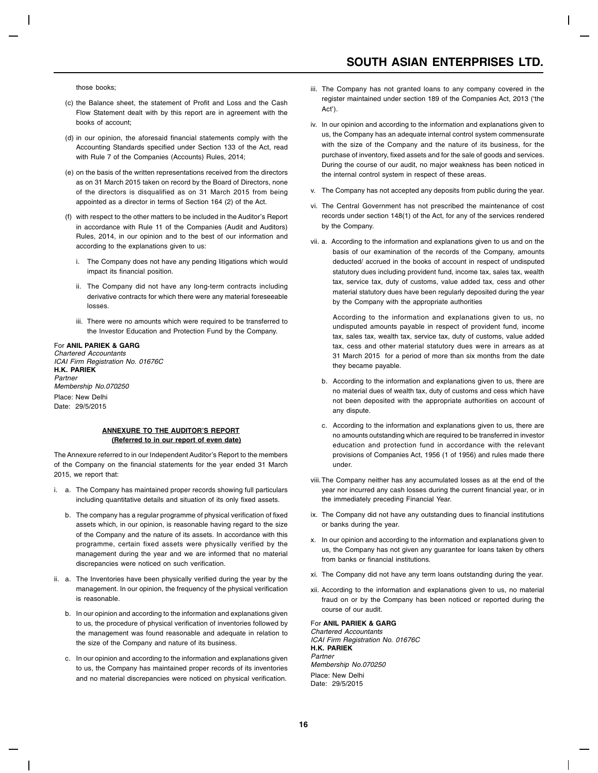those books;

- (c) the Balance sheet, the statement of Profit and Loss and the Cash Flow Statement dealt with by this report are in agreement with the books of account;
- (d) in our opinion, the aforesaid financial statements comply with the Accounting Standards specified under Section 133 of the Act, read with Rule 7 of the Companies (Accounts) Rules, 2014;
- (e) on the basis of the written representations received from the directors as on 31 March 2015 taken on record by the Board of Directors, none of the directors is disqualified as on 31 March 2015 from being appointed as a director in terms of Section 164 (2) of the Act.
- (f) with respect to the other matters to be included in the Auditor's Report in accordance with Rule 11 of the Companies (Audit and Auditors) Rules, 2014, in our opinion and to the best of our information and according to the explanations given to us:
	- i. The Company does not have any pending litigations which would impact its financial position.
	- ii. The Company did not have any long-term contracts including derivative contracts for which there were any material foreseeable losses.
	- iii. There were no amounts which were required to be transferred to the Investor Education and Protection Fund by the Company.

## For **ANIL PARIEK & GARG**

*Chartered Accountants ICAI Firm Registration No. 01676C* **H.K. PARIEK** *Partner Membership No.070250* Place: New Delhi Date: 29/5/2015

## **ANNEXURE TO THE AUDITOR'S REPORT (Referred to in our report of even date)**

The Annexure referred to in our Independent Auditor's Report to the members of the Company on the financial statements for the year ended 31 March 2015, we report that:

- i. a. The Company has maintained proper records showing full particulars including quantitative details and situation of its only fixed assets.
	- b. The company has a regular programme of physical verification of fixed assets which, in our opinion, is reasonable having regard to the size of the Company and the nature of its assets. In accordance with this programme, certain fixed assets were physically verified by the management during the year and we are informed that no material discrepancies were noticed on such verification.
- ii. a. The Inventories have been physically verified during the year by the management. In our opinion, the frequency of the physical verification is reasonable.
	- b. In our opinion and according to the information and explanations given to us, the procedure of physical verification of inventories followed by the management was found reasonable and adequate in relation to the size of the Company and nature of its business.
	- c. In our opinion and according to the information and explanations given to us, the Company has maintained proper records of its inventories and no material discrepancies were noticed on physical verification.
- iii. The Company has not granted loans to any company covered in the register maintained under section 189 of the Companies Act, 2013 ('the Act').
- iv. In our opinion and according to the information and explanations given to us, the Company has an adequate internal control system commensurate with the size of the Company and the nature of its business, for the purchase of inventory, fixed assets and for the sale of goods and services. During the course of our audit, no major weakness has been noticed in the internal control system in respect of these areas.
- v. The Company has not accepted any deposits from public during the year.
- vi. The Central Government has not prescribed the maintenance of cost records under section 148(1) of the Act, for any of the services rendered by the Company.
- vii. a. According to the information and explanations given to us and on the basis of our examination of the records of the Company, amounts deducted/ accrued in the books of account in respect of undisputed statutory dues including provident fund, income tax, sales tax, wealth tax, service tax, duty of customs, value added tax, cess and other material statutory dues have been regularly deposited during the year by the Company with the appropriate authorities

According to the information and explanations given to us, no undisputed amounts payable in respect of provident fund, income tax, sales tax, wealth tax, service tax, duty of customs, value added tax, cess and other material statutory dues were in arrears as at 31 March 2015 for a period of more than six months from the date they became payable.

- b. According to the information and explanations given to us, there are no material dues of wealth tax, duty of customs and cess which have not been deposited with the appropriate authorities on account of any dispute.
- c. According to the information and explanations given to us, there are no amounts outstanding which are required to be transferred in investor education and protection fund in accordance with the relevant provisions of Companies Act, 1956 (1 of 1956) and rules made there under.
- viii.The Company neither has any accumulated losses as at the end of the year nor incurred any cash losses during the current financial year, or in the immediately preceding Financial Year.
- ix. The Company did not have any outstanding dues to financial institutions or banks during the year.
- x. In our opinion and according to the information and explanations given to us, the Company has not given any guarantee for loans taken by others from banks or financial institutions.
- xi. The Company did not have any term loans outstanding during the year.
- xii. According to the information and explanations given to us, no material fraud on or by the Company has been noticed or reported during the course of our audit.

For **ANIL PARIEK & GARG**

*Chartered Accountants ICAI Firm Registration No. 01676C* **H.K. PARIEK** *Partner Membership No.070250* Place: New Delhi Date: 29/5/2015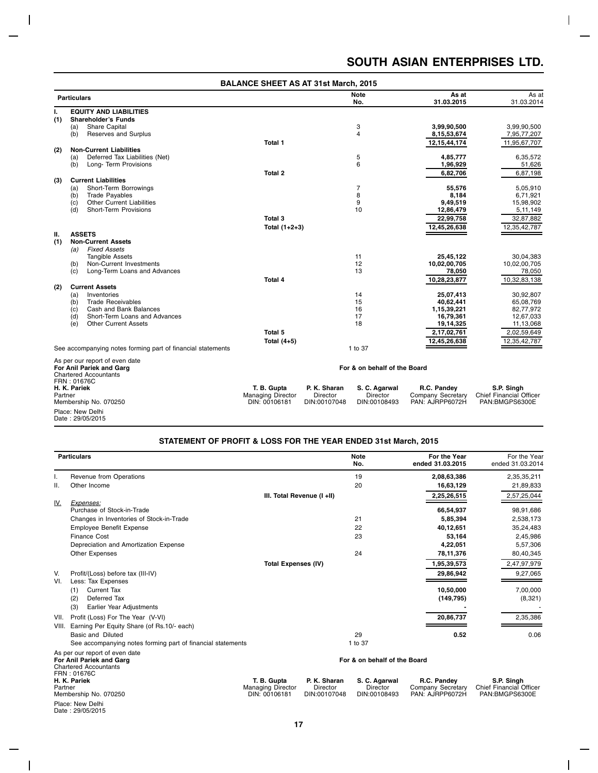$\mathsf{l}$ 

 $\overline{1}$ 

|           |                                                                         | <b>BALANCE SHEET AS AT 31st March, 2015</b> |              |                              |                          |                                |
|-----------|-------------------------------------------------------------------------|---------------------------------------------|--------------|------------------------------|--------------------------|--------------------------------|
|           | <b>Particulars</b>                                                      |                                             |              | <b>Note</b><br>No.           | As at<br>31.03.2015      | As at<br>31.03.2014            |
| ı.        | <b>EQUITY AND LIABILITIES</b>                                           |                                             |              |                              |                          |                                |
| (1)       | <b>Shareholder's Funds</b>                                              |                                             |              |                              |                          |                                |
|           | Share Capital<br>(a)                                                    |                                             |              | 3                            | 3,99,90,500              | 3,99,90,500                    |
|           | <b>Reserves and Surplus</b><br>(b)                                      |                                             |              | 4                            | 8,15,53,674              | 7,95,77,207                    |
| (2)       | <b>Non-Current Liabilities</b>                                          | Total 1                                     |              |                              | 12, 15, 44, 174          | 11,95,67,707                   |
|           | Deferred Tax Liabilities (Net)<br>(a)                                   |                                             |              | 5                            | 4,85,777                 | 6,35,572                       |
|           | Long- Term Provisions<br>(b)                                            |                                             |              | 6                            | 1,96,929                 | 51,626                         |
|           |                                                                         | Total <sub>2</sub>                          |              |                              | 6,82,706                 | 6,87,198                       |
| (3)       | <b>Current Liabilities</b>                                              |                                             |              |                              |                          |                                |
|           | Short-Term Borrowings<br>(a)                                            |                                             |              | 7                            | 55,576                   | 5,05,910                       |
|           | <b>Trade Payables</b><br>(b)                                            |                                             |              | 8                            | 8,184                    | 6,71,921                       |
|           | <b>Other Current Liabilities</b><br>(c)                                 |                                             |              | 9                            | 9,49,519                 | 15,98,902                      |
|           | <b>Short-Term Provisions</b><br>(d)                                     |                                             |              | 10                           | 12,86,479                | 5,11,149                       |
|           |                                                                         | Total 3                                     |              |                              | 22,99,758                | 32,87,882                      |
|           | <b>ASSETS</b>                                                           | Total $(1+2+3)$                             |              |                              | 12,45,26,638             | 12,35,42,787                   |
| Ш.<br>(1) | <b>Non-Current Assets</b>                                               |                                             |              |                              |                          |                                |
|           | <b>Fixed Assets</b><br>(a)                                              |                                             |              |                              |                          |                                |
|           | <b>Tangible Assets</b>                                                  |                                             |              | 11                           | 25,45,122                | 30,04,383                      |
|           | Non-Current Investments<br>(b)                                          |                                             |              | 12                           | 10,02,00,705             | 10,02,00,705                   |
|           | Long-Term Loans and Advances<br>(c)                                     |                                             |              | 13                           | 78,050                   | 78,050                         |
|           |                                                                         | Total 4                                     |              |                              | 10,28,23,877             | 10,32,83,138                   |
| (2)       | <b>Current Assets</b>                                                   |                                             |              |                              |                          |                                |
|           | Inventories<br>(a)                                                      |                                             |              | 14                           | 25,07,413                | 30,92,807                      |
|           | <b>Trade Receivables</b><br>(b)<br>Cash and Bank Balances<br>(c)        |                                             |              | 15<br>16                     | 40,62,441<br>1,15,39,221 | 65,08,769<br>82,77,972         |
|           | Short-Term Loans and Advances<br>(d)                                    |                                             |              | 17                           | 16,79,361                | 12,67,033                      |
|           | <b>Other Current Assets</b><br>(e)                                      |                                             |              | 18                           | 19,14,325                | 11,13,068                      |
|           |                                                                         | Total 5                                     |              |                              | 2,17,02,761              | 2,02,59,649                    |
|           |                                                                         | Total $(4+5)$                               |              |                              | 12,45,26,638             | 12,35,42,787                   |
|           | See accompanying notes forming part of financial statements             |                                             |              | 1 to 37                      |                          |                                |
|           | As per our report of even date                                          |                                             |              |                              |                          |                                |
|           | For Anil Pariek and Garg<br><b>Chartered Accountants</b><br>FRN: 01676C |                                             |              | For & on behalf of the Board |                          |                                |
|           | H. K. Pariek                                                            | T. B. Gupta                                 | P. K. Sharan | S. C. Agarwal                | R.C. Pandey              | S.P. Singh                     |
|           | Partner                                                                 | <b>Managing Director</b>                    | Director     | Director                     | Company Secretary        | <b>Chief Financial Officer</b> |
|           | Membership No. 070250                                                   | DIN: 00106181                               | DIN:00107048 | DIN:00108493                 | PAN: AJRPP6072H          | PAN:BMGPS6300E                 |
|           | Place: New Delhi<br>Date: 29/05/2015                                    |                                             |              |                              |                          |                                |

 $\overline{\phantom{a}}$ 

 $\overline{\phantom{a}}$ 

## **STATEMENT OF PROFIT & LOSS FOR THE YEAR ENDED 31st March, 2015**

|               | <b>Particulars</b>                                                                                        |                                                          |                                          | <b>Note</b><br>No.                        | For the Year<br>ended 31.03.2015                    | For the Year<br>ended 31.03.2014                        |
|---------------|-----------------------------------------------------------------------------------------------------------|----------------------------------------------------------|------------------------------------------|-------------------------------------------|-----------------------------------------------------|---------------------------------------------------------|
|               | <b>Revenue from Operations</b>                                                                            |                                                          |                                          | 19                                        | 2,08,63,386                                         | 2,35,35,211                                             |
| Ш.            | Other Income                                                                                              |                                                          |                                          | 20                                        | 16,63,129                                           | 21,89,833                                               |
|               |                                                                                                           |                                                          | III. Total Revenue (I +II)               |                                           | 2,25,26,515                                         | 2,57,25,044                                             |
| IV.           | Expenses:<br>Purchase of Stock-in-Trade                                                                   |                                                          |                                          |                                           | 66,54,937                                           | 98,91,686                                               |
|               | Changes in Inventories of Stock-in-Trade                                                                  |                                                          |                                          | 21                                        | 5,85,394                                            | 2,538,173                                               |
|               | <b>Employee Benefit Expense</b>                                                                           |                                                          |                                          | 22                                        | 40,12,651                                           | 35,24,483                                               |
|               | Finance Cost                                                                                              |                                                          |                                          | 23                                        | 53,164                                              | 2,45,986                                                |
|               | Depreciation and Amortization Expense                                                                     |                                                          |                                          |                                           | 4,22,051                                            | 5,57,306                                                |
|               | Other Expenses                                                                                            |                                                          |                                          | 24                                        | 78,11,376                                           | 80,40,345                                               |
|               |                                                                                                           | <b>Total Expenses (IV)</b>                               |                                          |                                           | 1,95,39,573                                         | 2,47,97,979                                             |
| V.<br>VI.     | Profit/(Loss) before tax (III-IV)<br>Less: Tax Expenses                                                   |                                                          |                                          |                                           | 29,86,942                                           | 9,27,065                                                |
|               | <b>Current Tax</b><br>(1)                                                                                 |                                                          |                                          |                                           | 10,50,000                                           | 7,00,000                                                |
|               | Deferred Tax<br>(2)<br>Earlier Year Adjustments<br>(3)                                                    |                                                          |                                          |                                           | (149, 795)                                          | (8,321)                                                 |
| VII.<br>VIII. | Profit (Loss) For The Year (V-VI)<br>Earning Per Equity Share (of Rs.10/- each)                           |                                                          |                                          |                                           | 20,86,737                                           | 2,35,386                                                |
|               | Basic and Diluted                                                                                         |                                                          |                                          | 29                                        | 0.52                                                | 0.06                                                    |
|               | See accompanying notes forming part of financial statements                                               |                                                          |                                          | 1 to 37                                   |                                                     |                                                         |
|               | As per our report of even date<br>For Anil Pariek and Garg<br><b>Chartered Accountants</b><br>FRN: 01676C |                                                          |                                          | For & on behalf of the Board              |                                                     |                                                         |
| Partner       | H. K. Pariek<br>Membership No. 070250                                                                     | T. B. Gupta<br><b>Managing Director</b><br>DIN: 00106181 | P. K. Sharan<br>Director<br>DIN:00107048 | S. C. Agarwal<br>Director<br>DIN:00108493 | R.C. Pandey<br>Company Secretary<br>PAN: AJRPP6072H | S.P. Singh<br>Chief Financial Officer<br>PAN:BMGPS6300E |
|               | Place: New Delhi<br>Date: 29/05/2015                                                                      |                                                          |                                          |                                           |                                                     |                                                         |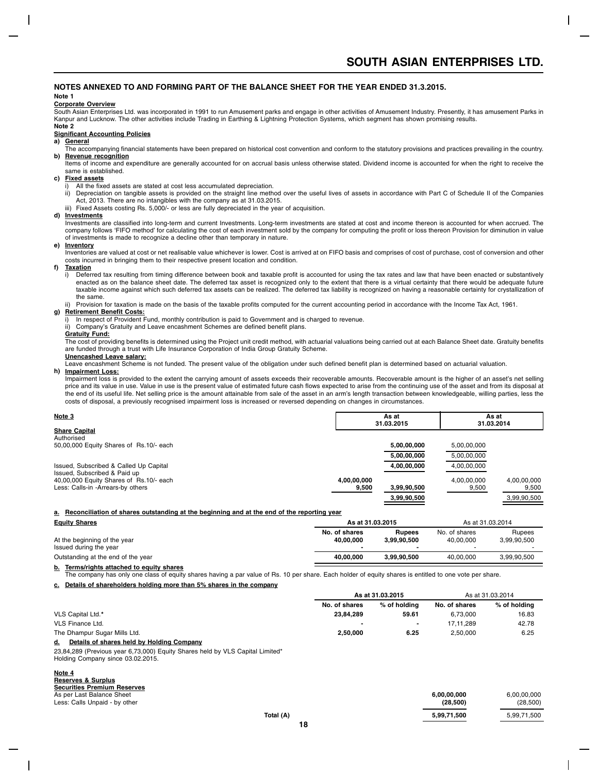$\overline{\phantom{a}}$ 

## **NOTES ANNEXED TO AND FORMING PART OF THE BALANCE SHEET FOR THE YEAR ENDED 31.3.2015.**

#### **Note 1 Corporate Overview**

South Asian Enterprises Ltd. was incorporated in 1991 to run Amusement parks and engage in other activities of Amusement Industry. Presently, it has amusement Parks in Kanpur and Lucknow. The other activities include Trading in Earthing & Lightning Protection Systems, which segment has shown promising results.

#### **Note 2 Significant Accounting Policies**

**a) General**

The accompanying financial statements have been prepared on historical cost convention and conform to the statutory provisions and practices prevailing in the country. **b) Revenue recognition**

Items of income and expenditure are generally accounted for on accrual basis unless otherwise stated. Dividend income is accounted for when the right to receive the same is established.

#### **c) Fixed assets**

- All the fixed assets are stated at cost less accumulated depreciation.
- ii) Depreciation on tangible assets is provided on the straight line method over the useful lives of assets in accordance with Part C of Schedule II of the Companies Act, 2013. There are no intangibles with the company as at 31.03.2015.
- iii) Fixed Assets costing Rs. 5,000/- or less are fully depreciated in the year of acquisition.

#### **d) Investments**

Investments are classified into long-term and current Investments. Long-term investments are stated at cost and income thereon is accounted for when accrued. The company follows 'FIFO method' for calculating the cost of each investment sold by the company for computing the profit or loss thereon Provision for diminution in value of investments is made to recognize a decline other than temporary in nature.

#### **e) Inventory**

Inventories are valued at cost or net realisable value whichever is lower. Cost is arrived at on FIFO basis and comprises of cost of purchase, cost of conversion and other costs incurred in bringing them to their respective present location and condition.

#### **f) Taxation**

i) Deferred tax resulting from timing difference between book and taxable profit is accounted for using the tax rates and law that have been enacted or substantively enacted as on the balance sheet date. The deferred tax asset is recognized only to the extent that there is a virtual certainty that there would be adequate future taxable income against which such deferred tax assets can be realized. The deferred tax liability is recognized on having a reasonable certainty for crystallization of the same.

ii) Provision for taxation is made on the basis of the taxable profits computed for the current accounting period in accordance with the Income Tax Act, 1961.

#### **g) Retirement Benefit Costs:**

In respect of Provident Fund, monthly contribution is paid to Government and is charged to revenue.

ii) Company's Gratuity and Leave encashment Schemes are defined benefit plans.

#### **Gratuity Fund:**

The cost of providing benefits is determined using the Project unit credit method, with actuarial valuations being carried out at each Balance Sheet date. Gratuity benefits are funded through a trust with Life Insurance Corporation of India Group Gratuity Scheme.

## **Unencashed Leave salary:**

Leave encashment Scheme is not funded. The present value of the obligation under such defined benefit plan is determined based on actuarial valuation. **h) Impairment Loss:**

Impairment loss is provided to the extent the carrying amount of assets exceeds their recoverable amounts. Recoverable amount is the higher of an asset's net selling price and its value in use. Value in use is the present value of estimated future cash flows expected to arise from the continuing use of the asset and from its disposal at the end of its useful life. Net selling price is the amount attainable from sale of the asset in an arm's length transaction between knowledgeable, willing parties, less the costs of disposal, a previously recognised impairment loss is increased or reversed depending on changes in circumstances.

| Note 3                                  |             | As at<br>31.03.2015 |             | As at<br>31.03.2014 |
|-----------------------------------------|-------------|---------------------|-------------|---------------------|
| <b>Share Capital</b><br>Authorised      |             |                     |             |                     |
| 50,00,000 Equity Shares of Rs.10/- each |             | 5.00.00.000         | 5.00.00.000 |                     |
|                                         |             | 5,00,00,000         | 5,00,00,000 |                     |
| Issued, Subscribed & Called Up Capital  |             | 4,00,00,000         | 4.00.00.000 |                     |
| Issued, Subscribed & Paid up            |             |                     |             |                     |
| 40,00,000 Equity Shares of Rs.10/- each | 4,00,00,000 |                     | 4.00.00.000 | 4.00.00.000         |
| Less: Calls-in -Arrears-by others       | 9,500       | 3,99,90,500         | 9,500       | 9,500               |
|                                         |             | 3,99,90,500         |             | 3,99,90,500         |

#### **a. Reconciliation of shares outstanding at the beginning and at the end of the reporting year**

| <b>Equity Shares</b>                                   | As at 31.03.2015                                       |                              | As at 31.03.2014                |                       |  |
|--------------------------------------------------------|--------------------------------------------------------|------------------------------|---------------------------------|-----------------------|--|
| At the beginning of the year<br>Issued during the year | No. of shares<br>40.00.000<br>$\overline{\phantom{0}}$ | <b>Rupees</b><br>3.99.90.500 | No. of shares<br>40.00.000<br>- | Rupees<br>3.99.90.500 |  |
| Outstanding at the end of the year                     | 40.00.000                                              | 3.99.90.500                  | 40.00.000                       | 3.99.90.500           |  |

**b. Terms/rights attached to equity shares**

The company has only one class of equity shares having a par value of Rs. 10 per share. Each holder of equity shares is entitled to one vote per share.

#### **c. Details of shareholders holding more than 5% shares in the company**

|                                                                                                                    | As at 31.03.2015 |              | As at 31.03.2014 |              |
|--------------------------------------------------------------------------------------------------------------------|------------------|--------------|------------------|--------------|
|                                                                                                                    | No. of shares    | % of holding | No. of shares    | % of holding |
| VLS Capital Ltd.*                                                                                                  | 23,84,289        | 59.61        | 6.73.000         | 16.83        |
| VLS Finance Ltd.                                                                                                   |                  |              | 17.11.289        | 42.78        |
| The Dhampur Sugar Mills Ltd.                                                                                       | 2,50,000         | 6.25         | 2.50.000         | 6.25         |
| Details of shares held by Holding Company<br>d.                                                                    |                  |              |                  |              |
| 23,84,289 (Previous year 6,73,000) Equity Shares held by VLS Capital Limited*<br>Holding Company since 03.02.2015. |                  |              |                  |              |
| Note 4                                                                                                             |                  |              |                  |              |
| <b>Reserves &amp; Surplus</b>                                                                                      |                  |              |                  |              |
| <b>Securities Premium Reserves</b>                                                                                 |                  |              |                  |              |
| As per Last Balance Sheet                                                                                          |                  |              | 6.00.00.000      | 6.00.00.000  |
| Less: Calls Unpaid - by other                                                                                      |                  |              | (28.500)         | (28.500)     |

# Less: Calls Unpaid - by other

| Total (A) | 5,99,71,500 | 5,99,71,500 |
|-----------|-------------|-------------|
|           |             |             |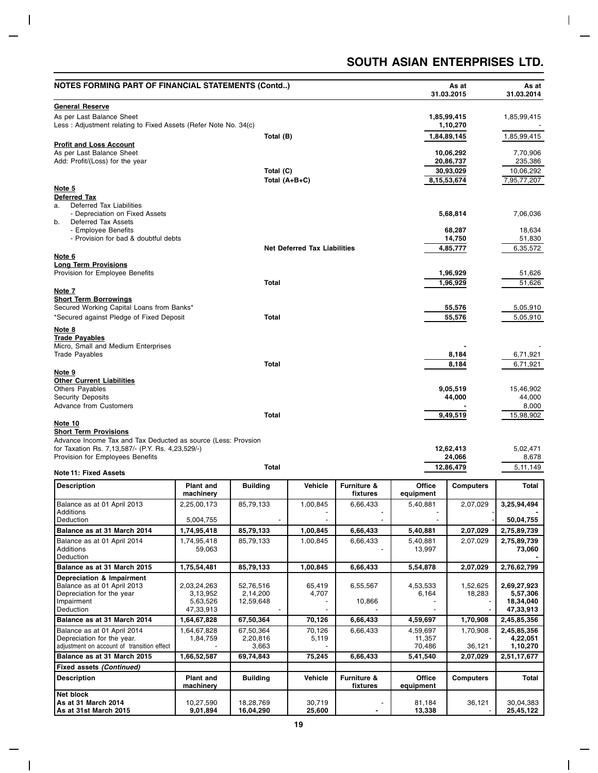$\overline{\phantom{a}}$ 

| <b>NOTES FORMING PART OF FINANCIAL STATEMENTS (Contd)</b>                                     |                         |                   |                                     |                        |                   | As at<br>31.03.2015    | As at<br>31.03.2014     |
|-----------------------------------------------------------------------------------------------|-------------------------|-------------------|-------------------------------------|------------------------|-------------------|------------------------|-------------------------|
| <b>General Reserve</b>                                                                        |                         |                   |                                     |                        |                   |                        |                         |
| As per Last Balance Sheet                                                                     |                         |                   |                                     |                        |                   | 1,85,99,415            | 1,85,99,415             |
| Less: Adjustment relating to Fixed Assets (Refer Note No. 34(c)                               |                         |                   |                                     |                        |                   | 1,10,270               |                         |
|                                                                                               |                         | Total (B)         |                                     |                        |                   | 1,84,89,145            | 1,85,99,415             |
| <b>Profit and Loss Account</b>                                                                |                         |                   |                                     |                        |                   |                        |                         |
| As per Last Balance Sheet<br>Add: Profit/(Loss) for the year                                  |                         |                   |                                     |                        |                   | 10,06,292<br>20,86,737 | 7,70,906<br>235,386     |
|                                                                                               |                         | Total (C)         |                                     |                        |                   | 30,93,029              | 10,06,292               |
|                                                                                               |                         |                   | Total $(A+B+C)$                     |                        |                   | 8,15,53,674            | 7,95,77,207             |
| Note 5                                                                                        |                         |                   |                                     |                        |                   |                        |                         |
| Deferred Tax                                                                                  |                         |                   |                                     |                        |                   |                        |                         |
| Deferred Tax Liabilities<br>a.<br>- Depreciation on Fixed Assets                              |                         |                   |                                     |                        |                   | 5,68,814               | 7,06,036                |
| b.<br>Deferred Tax Assets                                                                     |                         |                   |                                     |                        |                   |                        |                         |
| - Employee Benefits                                                                           |                         |                   |                                     |                        |                   | 68,287                 | 18,634                  |
| - Provision for bad & doubtful debts                                                          |                         |                   |                                     |                        |                   | 14,750                 | 51,830                  |
|                                                                                               |                         |                   | <b>Net Deferred Tax Liabilities</b> |                        |                   | 4,85,777               | 6,35,572                |
| Note 6<br><b>Long Term Provisions</b>                                                         |                         |                   |                                     |                        |                   |                        |                         |
| Provision for Employee Benefits                                                               |                         |                   |                                     |                        |                   | 1,96,929               | 51,626                  |
|                                                                                               |                         | <b>Total</b>      |                                     |                        |                   | 1,96,929               | 51,626                  |
| Note 7                                                                                        |                         |                   |                                     |                        |                   |                        |                         |
| <b>Short Term Borrowings</b>                                                                  |                         |                   |                                     |                        |                   |                        |                         |
| Secured Working Capital Loans from Banks*                                                     |                         | <b>Total</b>      |                                     |                        |                   | 55,576                 | 5,05,910                |
| *Secured against Pledge of Fixed Deposit                                                      |                         |                   |                                     |                        |                   | 55,576                 | 5,05,910                |
| Note 8                                                                                        |                         |                   |                                     |                        |                   |                        |                         |
| <b>Trade Payables</b><br>Micro, Small and Medium Enterprises                                  |                         |                   |                                     |                        |                   |                        |                         |
| <b>Trade Payables</b>                                                                         |                         |                   |                                     |                        |                   | 8,184                  | 6,71,921                |
|                                                                                               |                         | <b>Total</b>      |                                     |                        |                   | 8,184                  | 6,71,921                |
| Note 9                                                                                        |                         |                   |                                     |                        |                   |                        |                         |
| <b>Other Current Liabilities</b><br><b>Others Payables</b>                                    |                         |                   |                                     |                        |                   | 9,05,519               | 15,46,902               |
| <b>Security Deposits</b>                                                                      |                         |                   |                                     |                        |                   | 44,000                 | 44,000                  |
| <b>Advance from Customers</b>                                                                 |                         |                   |                                     |                        |                   |                        | 8,000                   |
|                                                                                               |                         | Total             |                                     |                        |                   | 9,49,519               | 15,98,902               |
| <u>Note 10</u>                                                                                |                         |                   |                                     |                        |                   |                        |                         |
| <b>Short Term Provisions</b><br>Advance Income Tax and Tax Deducted as source (Less: Provsion |                         |                   |                                     |                        |                   |                        |                         |
| for Taxation Rs. 7,13,587/- (P.Y. Rs. 4,23,529/-)                                             |                         |                   |                                     |                        |                   | 12,62,413              | 5,02,471                |
| Provision for Employees Benefits                                                              |                         |                   |                                     |                        |                   | 24,066                 | 8,678                   |
| <b>Note 11: Fixed Assets</b>                                                                  |                         | <b>Total</b>      |                                     |                        |                   | 12,86,479              | 5, 11, 149              |
|                                                                                               |                         |                   |                                     |                        |                   |                        |                         |
| <b>Description</b>                                                                            | <b>Plant and</b>        | <b>Building</b>   | <b>Vehicle</b>                      | <b>Furniture &amp;</b> | Office            | <b>Computers</b>       | Total                   |
|                                                                                               | machinery               |                   |                                     | fixtures               | equipment         |                        |                         |
| Balance as at 01 April 2013<br>Additions                                                      | 2,25,00,173             | 85,79,133         | 1,00,845                            | 6,66,433               | 5,40,881          | 2,07,029               | 3,25,94,494             |
| Deduction                                                                                     | 5,004,755               |                   |                                     |                        |                   |                        | 50,04,755               |
| Balance as at 31 March 2014                                                                   | 1,74,95,418             | 85,79,133         | 1,00,845                            | 6,66,433               | 5,40,881          | 2,07,029               | 2,75,89,739             |
| Balance as at 01 April 2014                                                                   | 1,74,95,418             | 85,79,133         | 1,00,845                            | 6,66,433               | 5,40,881          | 2,07,029               | 2,75,89,739             |
| Additions                                                                                     | 59,063                  |                   |                                     |                        | 13,997            |                        | 73,060                  |
| Deduction                                                                                     |                         |                   |                                     |                        |                   |                        |                         |
| Balance as at 31 March 2015                                                                   | 1,75,54,481             | 85,79,133         | 1,00,845                            | 6,66,433               | 5,54,878          | 2,07,029               | 2,76,62,799             |
| Depreciation & Impairment<br>Balance as at 01 April 2013                                      |                         | 52,76,516         | 65,419                              | 6,55,567               |                   |                        |                         |
| Depreciation for the year                                                                     | 2,03,24,263<br>3,13,952 | 2,14,200          | 4,707                               |                        | 4,53,533<br>6,164 | 1,52,625<br>18,283     | 2,69,27,923<br>5,57,306 |
| Impairment                                                                                    | 5,63,526                | 12,59,648         |                                     | 10,866                 |                   |                        | 18,34,040               |
| Deduction                                                                                     | 47,33,913               |                   |                                     |                        |                   |                        | 47,33,913               |
| Balance as at 31 March 2014                                                                   | 1,64,67,828             | 67,50,364         | 70,126                              | 6,66,433               | 4,59,697          | 1,70,908               | 2,45,85,356             |
| Balance as at 01 April 2014                                                                   | 1,64,67,828             | 67,50,364         | 70,126                              | 6,66,433               | 4,59,697          | 1,70,908               | 2,45,85,356             |
| Depreciation for the year.<br>adjustment on account of transition effect                      | 1,84,759                | 2,20,816<br>3,663 | 5,119                               |                        | 11,357<br>70,486  | 36,121                 | 4,22,051<br>1,10,270    |
| Balance as at 31 March 2015                                                                   | 1,66,52,587             | 69,74,843         | 75,245                              | 6,66,433               | 5,41,540          | 2,07,029               | 2,51,17,677             |
| <b>Fixed assets (Continued)</b>                                                               |                         |                   |                                     |                        |                   |                        |                         |
|                                                                                               | Plant and               |                   | Vehicle                             | Furniture &            | Office            |                        | Total                   |
| <b>Description</b>                                                                            | machinery               | <b>Building</b>   |                                     | fixtures               | equipment         | <b>Computers</b>       |                         |
| Net block                                                                                     |                         |                   |                                     |                        |                   |                        |                         |
| As at 31 March 2014                                                                           | 10,27,590               | 18,28,769         | 30,719                              |                        | 81,184            | 36,121                 | 30,04,383               |
| As at 31st March 2015                                                                         | 9,01,894                | 16,04,290         | 25,600                              |                        | 13,338            |                        | 25,45,122               |

 $\mathbf{I}$ 

 $\overline{\phantom{a}}$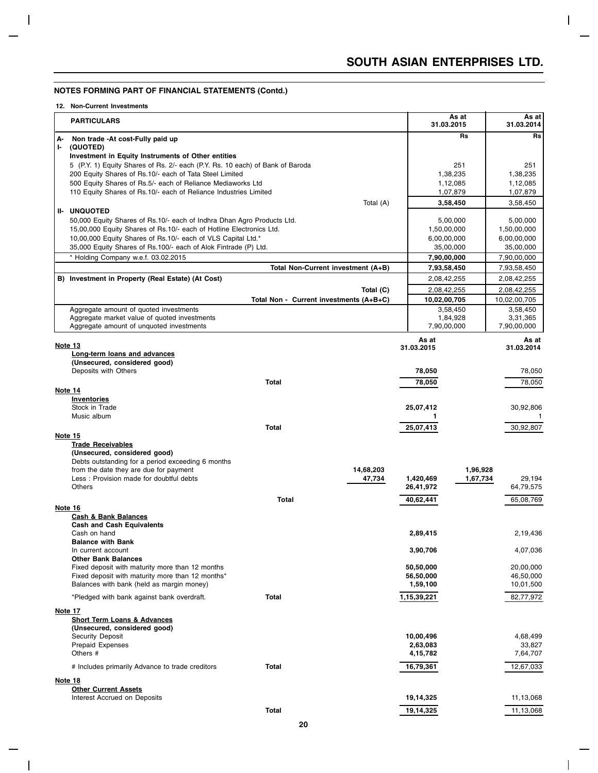$\overline{1}$ 

## **NOTES FORMING PART OF FINANCIAL STATEMENTS (Contd.)**

## **12. Non-Current Investments**

I

 $\mathsf{I}$ 

|    | <b>PARTICULARS</b>                                                                       |                                         |           |              | As at<br>31.03.2015 | As at<br>31.03.2014     |
|----|------------------------------------------------------------------------------------------|-----------------------------------------|-----------|--------------|---------------------|-------------------------|
| А- | Non trade -At cost-Fully paid up                                                         |                                         |           |              | <b>Rs</b>           | <b>Rs</b>               |
| ŀ. | (QUOTED)<br>Investment in Equity Instruments of Other entities                           |                                         |           |              |                     |                         |
|    | 5 (P.Y. 1) Equity Shares of Rs. 2/- each (P.Y. Rs. 10 each) of Bank of Baroda            |                                         |           |              | 251                 | 251                     |
|    | 200 Equity Shares of Rs.10/- each of Tata Steel Limited                                  |                                         |           |              | 1.38.235            | 1,38,235                |
|    | 500 Equity Shares of Rs.5/- each of Reliance Mediaworks Ltd                              |                                         |           |              | 1,12,085            | 1,12,085                |
|    | 110 Equity Shares of Rs.10/- each of Reliance Industries Limited                         |                                         |           |              | 1,07,879            | 1,07,879                |
|    |                                                                                          |                                         | Total (A) |              | 3,58,450            | 3,58,450                |
|    | <b>II- UNQUOTED</b>                                                                      |                                         |           |              |                     |                         |
|    | 50,000 Equity Shares of Rs.10/- each of Indhra Dhan Agro Products Ltd.                   |                                         |           |              | 5,00,000            | 5,00,000                |
|    | 15,00,000 Equity Shares of Rs.10/- each of Hotline Electronics Ltd.                      |                                         |           | 1,50,00,000  |                     | 1,50,00,000             |
|    | 10,00,000 Equity Shares of Rs.10/- each of VLS Capital Ltd.*                             |                                         |           | 6,00,00,000  |                     | 6,00,00,000             |
|    | 35,000 Equity Shares of Rs.100/- each of Alok Fintrade (P) Ltd.                          |                                         |           |              | 35,00,000           | 35,00,000               |
|    | * Holding Company w.e.f. 03.02.2015                                                      |                                         |           | 7,90,00,000  |                     | 7,90,00,000             |
|    |                                                                                          | Total Non-Current investment (A+B)      |           | 7,93,58,450  |                     | 7,93,58,450             |
|    | B) Investment in Property (Real Estate) (At Cost)                                        |                                         |           | 2,08,42,255  |                     | 2,08,42,255             |
|    |                                                                                          |                                         | Total (C) | 2,08,42,255  |                     | 2,08,42,255             |
|    |                                                                                          | Total Non - Current investments (A+B+C) |           | 10,02,00,705 |                     | 10,02,00,705            |
|    | Aggregate amount of guoted investments                                                   |                                         |           |              | 3,58,450            | 3,58,450                |
|    | Aggregate market value of guoted investments<br>Aggregate amount of unquoted investments |                                         |           | 7,90,00,000  | 1,84,928            | 3,31,365<br>7,90,00,000 |
|    |                                                                                          |                                         |           |              |                     |                         |
|    | <u>Note 13</u>                                                                           |                                         |           | As at        |                     | As at                   |
|    | Long-term loans and advances                                                             |                                         |           | 31.03.2015   |                     | 31.03.2014              |
|    | (Unsecured, considered good)                                                             |                                         |           |              |                     |                         |
|    | Deposits with Others                                                                     |                                         |           | 78,050       |                     | 78,050                  |
|    |                                                                                          | <b>Total</b>                            |           | 78,050       |                     | 78,050                  |
|    | Note 14                                                                                  |                                         |           |              |                     |                         |
|    | <b>Inventories</b>                                                                       |                                         |           |              |                     |                         |
|    | Stock in Trade                                                                           |                                         |           | 25,07,412    |                     | 30,92,806               |
|    | Music album                                                                              |                                         |           | 1            |                     | -1                      |
|    |                                                                                          | Total                                   |           | 25,07,413    |                     | 30,92,807               |
|    | Note 15                                                                                  |                                         |           |              |                     |                         |
|    | <b>Trade Receivables</b><br>(Unsecured, considered good)                                 |                                         |           |              |                     |                         |
|    | Debts outstanding for a period exceeding 6 months                                        |                                         |           |              |                     |                         |
|    | from the date they are due for payment                                                   |                                         | 14,68,203 |              | 1,96,928            |                         |
|    | Less: Provision made for doubtful debts                                                  |                                         | 47,734    | 1,420,469    | 1,67,734            | 29,194                  |
|    | Others                                                                                   |                                         |           | 26,41,972    |                     | 64,79,575               |
|    |                                                                                          | Total                                   |           | 40,62,441    |                     | 65,08,769               |
|    | Note 16                                                                                  |                                         |           |              |                     |                         |
|    | <b>Cash &amp; Bank Balances</b>                                                          |                                         |           |              |                     |                         |
|    | <b>Cash and Cash Equivalents</b><br>Cash on hand                                         |                                         |           | 2,89,415     |                     | 2.19.436                |
|    | <b>Balance with Bank</b>                                                                 |                                         |           |              |                     |                         |
|    | In current account                                                                       |                                         |           | 3,90,706     |                     | 4,07,036                |
|    | <b>Other Bank Balances</b>                                                               |                                         |           |              |                     |                         |
|    | Fixed deposit with maturity more than 12 months                                          |                                         |           | 50,50,000    |                     | 20,00,000               |
|    | Fixed deposit with maturity more than 12 months*                                         |                                         |           | 56,50,000    |                     | 46,50,000               |
|    | Balances with bank (held as margin money)                                                |                                         |           | 1,59,100     |                     | 10,01,500               |
|    | *Pledged with bank against bank overdraft.                                               | <b>Total</b>                            |           | 1,15,39,221  |                     | 82,77,972               |
|    | Note 17                                                                                  |                                         |           |              |                     |                         |
|    | <b>Short Term Loans &amp; Advances</b>                                                   |                                         |           |              |                     |                         |
|    | (Unsecured, considered good)                                                             |                                         |           |              |                     |                         |
|    | Security Deposit                                                                         |                                         |           | 10,00,496    |                     | 4,68,499                |
|    | <b>Prepaid Expenses</b><br>Others #                                                      |                                         |           | 2,63,083     |                     | 33,827                  |
|    |                                                                                          |                                         |           | 4,15,782     |                     | 7,64,707                |
|    | # Includes primarily Advance to trade creditors                                          | Total                                   |           | 16,79,361    |                     | 12,67,033               |
|    | <u>Note 18</u>                                                                           |                                         |           |              |                     |                         |
|    | <b>Other Current Assets</b>                                                              |                                         |           |              |                     |                         |
|    | Interest Accrued on Deposits                                                             |                                         |           | 19,14,325    |                     | 11,13,068               |
|    |                                                                                          | Total                                   |           | 19,14,325    |                     | 11,13,068               |
|    |                                                                                          |                                         |           |              |                     |                         |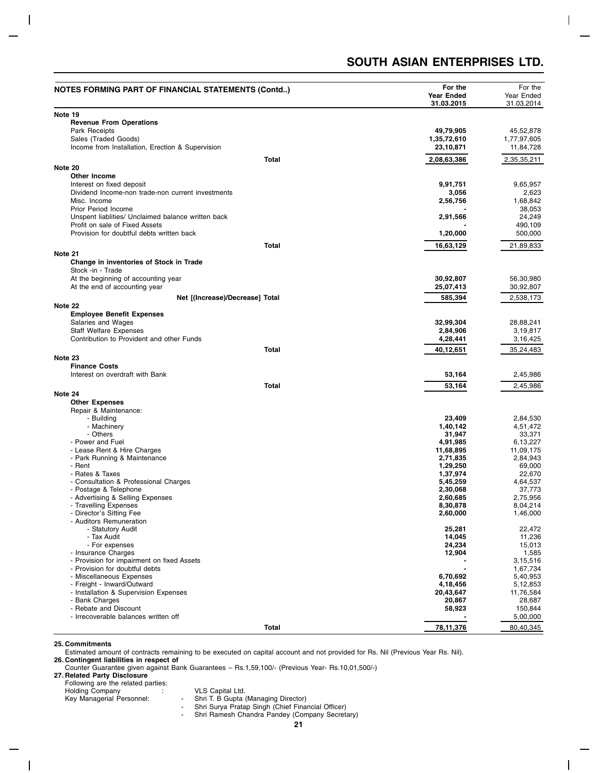| <b>NOTES FORMING PART OF FINANCIAL STATEMENTS (Contd)</b> | For the<br><b>Year Ended</b><br>31.03.2015 | For the<br>Year Ended<br>31.03.2014 |
|-----------------------------------------------------------|--------------------------------------------|-------------------------------------|
|                                                           |                                            |                                     |
| Note 19                                                   |                                            |                                     |
| <b>Revenue From Operations</b>                            |                                            |                                     |
| Park Receipts                                             | 49,79,905                                  | 45,52,878                           |
| Sales (Traded Goods)                                      | 1,35,72,610                                | 1,77,97,605                         |
| Income from Installation, Erection & Supervision          | 23,10,871                                  | 11,84,728                           |
| Total                                                     | 2,08,63,386                                | 2,35,35,211                         |
| Note 20                                                   |                                            |                                     |
| Other Income                                              |                                            |                                     |
| Interest on fixed deposit                                 | 9,91,751                                   | 9,65,957                            |
|                                                           |                                            |                                     |
| Dividend Income-non trade-non current investments         | 3,056                                      | 2,623                               |
| Misc. Income                                              | 2,56,756                                   | 1,68,842                            |
| Prior Period Income                                       |                                            | 38,053                              |
| Unspent liablities/ Unclaimed balance written back        | 2,91,566                                   | 24,249                              |
| Profit on sale of Fixed Assets                            |                                            | 490,109                             |
| Provision for doubtful debts written back                 | 1,20,000                                   | 500,000                             |
| <b>Total</b>                                              | 16,63,129                                  | 21,89,833                           |
| Note 21                                                   |                                            |                                     |
|                                                           |                                            |                                     |
| Change in inventories of Stock in Trade                   |                                            |                                     |
| Stock -in - Trade                                         |                                            |                                     |
| At the beginning of accounting year                       | 30,92,807                                  | 56,30,980                           |
| At the end of accounting year                             | 25,07,413                                  | 30,92,807                           |
| Net [(Increase)/Decrease] Total                           | 585,394                                    | 2,538,173                           |
| Note 22                                                   |                                            |                                     |
| <b>Employee Benefit Expenses</b>                          |                                            |                                     |
| Salaries and Wages                                        | 32,99,304                                  | 28,88,241                           |
| <b>Staff Welfare Expenses</b>                             | 2,84,906                                   | 3,19,817                            |
| Contribution to Provident and other Funds                 | 4,28,441                                   |                                     |
|                                                           |                                            | 3,16,425                            |
| <b>Total</b>                                              | 40,12,651                                  | 35,24,483                           |
| Note 23                                                   |                                            |                                     |
| <b>Finance Costs</b>                                      |                                            |                                     |
| Interest on overdraft with Bank                           | 53,164                                     | 2,45,986                            |
| <b>Total</b>                                              | 53,164                                     | 2,45,986                            |
| Note 24                                                   |                                            |                                     |
|                                                           |                                            |                                     |
| <b>Other Expenses</b>                                     |                                            |                                     |
| Repair & Maintenance:                                     |                                            |                                     |
| - Building                                                | 23,409                                     | 2,84,530                            |
| - Machinery                                               | 1,40,142                                   | 4,51,472                            |
| - Others                                                  | 31,947                                     | 33,371                              |
| - Power and Fuel                                          | 4,91,985                                   | 6,13,227                            |
| - Lease Rent & Hire Charges                               | 11,68,895                                  | 11,09,175                           |
| - Park Running & Maintenance                              | 2,71,835                                   | 2,84,943                            |
| - Rent                                                    | 1,29,250                                   | 69,000                              |
| - Rates & Taxes                                           | 1,37,974                                   | 22,670                              |
| - Consultation & Professional Charges                     | 5,45,259                                   | 4,64,537                            |
| - Postage & Telephone                                     | 2,30,068                                   | 37,773                              |
| - Advertising & Selling Expenses                          | 2,60,685                                   | 2,75,956                            |
| - Travelling Expenses                                     | 8,30,878                                   | 8,04,214                            |
| - Director's Sitting Fee                                  | 2,60,000                                   | 1,46,000                            |
| - Auditors Remuneration                                   |                                            |                                     |
| - Statutory Audit                                         | 25,281                                     | 22,472                              |
| - Tax Audit                                               | 14,045                                     | 11,236                              |
| - For expenses                                            | 24,234                                     | 15,013                              |
| - Insurance Charges                                       | 12,904                                     | 1,585                               |
| - Provision for impairment on fixed Assets                |                                            | 3,15,516                            |
| - Provision for doubtful debts                            |                                            | 1,67,734                            |
| - Miscellaneous Expenses                                  | 6,70,692                                   | 5,40,953                            |
| - Freight - Inward/Outward                                | 4,18,456                                   | 5,12,853                            |
| - Installation & Supervision Expenses                     | 20,43,647                                  | 11,76,584                           |
| - Bank Charges                                            | 20,867                                     | 28,687                              |
| - Rebate and Discount                                     | 58,923                                     | 150,844                             |
| - Irrecoverable balances written off                      |                                            | 5,00,000                            |
|                                                           |                                            |                                     |
| Total                                                     | 78,11,376                                  | 80,40,345                           |

**25. Commitments**

 $\mathbf l$ 

Estimated amount of contracts remaining to be executed on capital account and not provided for Rs. Nil (Previous Year Rs. Nil).

**26. Contingent liabilities in respect of** Counter Guarantee given against Bank Guarantees – Rs.1,59,100/- (Previous Year- Rs.10,01,500/-)

**27. Related Party Disclosure**

Following are the related parties: Holding Company : VLS Capital Ltd.

Key Managerial Personnel: - - Shri T. B Gupta (Managing Director)

- Shri Surya Pratap Singh (Chief Financial Officer) - Shri Ramesh Chandra Pandey (Company Secretary)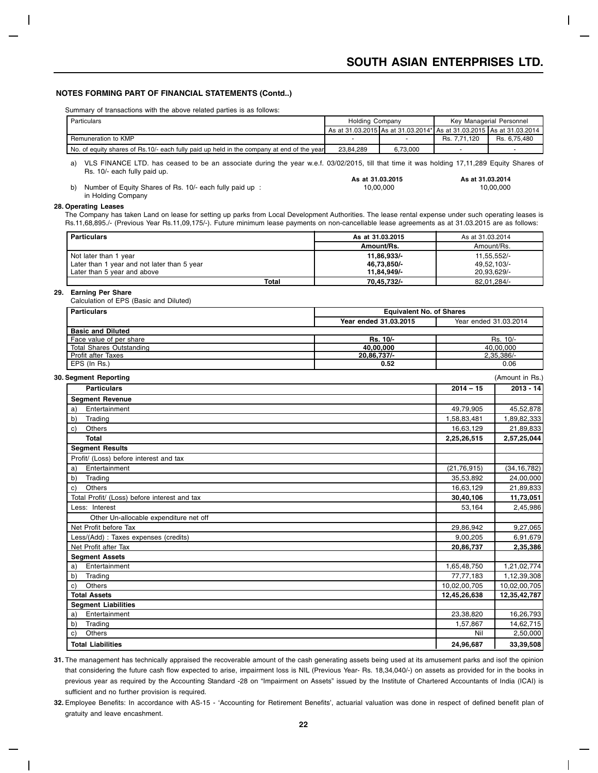## **NOTES FORMING PART OF FINANCIAL STATEMENTS (Contd..)**

Summary of transactions with the above related parties is as follows:

b) Number of Equity Shares of Rs. 10/- each fully paid up :

| Particulars                                                                               | <b>Holding Company</b> |          | Key Managerial Personnel |              |
|-------------------------------------------------------------------------------------------|------------------------|----------|--------------------------|--------------|
|                                                                                           |                        |          |                          |              |
| Remuneration to KMP                                                                       |                        |          | Rs. 7.71.120             | Rs. 6.75.480 |
| No. of equity shares of Rs.10/- each fully paid up held in the company at end of the year | 23.84.289              | 6.73.000 |                          |              |
|                                                                                           |                        |          |                          |              |

a) VLS FINANCE LTD. has ceased to be an associate during the year w.e.f. 03/02/2015, till that time it was holding 17,11,289 Equity Shares of Rs. 10/- each fully paid up.

| As at 31.03.2015 | As at 31.03.2014 |
|------------------|------------------|
| 10.00.000        | 10.00.000        |

#### **28. Operating Leases**

in Holding Company

The Company has taken Land on lease for setting up parks from Local Development Authorities. The lease rental expense under such operating leases is Rs.11,68,895./- (Previous Year Rs.11,09,175/-). Future minimum lease payments on non-cancellable lease agreements as at 31.03.2015 are as follows:

| <b>Particulars</b>                          | As at 31.03.2015 | As at 31.03.2014 |
|---------------------------------------------|------------------|------------------|
|                                             | Amount/Rs.       | Amount/Rs.       |
| Not later than 1 year                       | 11,86,933/-      | 11,55,552/-      |
| Later than 1 year and not later than 5 year | 46,73,850/-      | 49,52,103/-      |
| Later than 5 year and above                 | 11.84.949/-      | 20.93.629/-      |
| Total                                       | 70,45,732/-      | 82.01.284/-      |

#### **29. Earning Per Share**

Calculation of EPS (Basic and Diluted)

| <b>Particulars</b>              | <b>Equivalent No. of Shares</b> |                       |  |
|---------------------------------|---------------------------------|-----------------------|--|
|                                 | Year ended 31,03,2015           | Year ended 31.03.2014 |  |
| <b>Basic and Diluted</b>        |                                 |                       |  |
| Face value of per share         | Rs. 10/-                        | Rs. 10/-              |  |
| <b>Total Shares Outstanding</b> | 40.00.000                       | 40.00.000             |  |
| <b>Profit after Taxes</b>       | 20,86,737/-                     | $2.35.386/-$          |  |
| EPS (In Rs.)                    | 0.52                            | 0.06                  |  |

| 30. Segment Reporting                        |               | (Amount in Rs.) |  |  |
|----------------------------------------------|---------------|-----------------|--|--|
| <b>Particulars</b>                           | $2014 - 15$   | $2013 - 14$     |  |  |
| <b>Segment Revenue</b>                       |               |                 |  |  |
| Entertainment<br>a)                          | 49,79,905     | 45,52,878       |  |  |
| Trading<br>b)                                | 1,58,83,481   | 1,89,82,333     |  |  |
| Others<br>c)                                 | 16,63,129     | 21,89,833       |  |  |
| Total                                        | 2,25,26,515   | 2,57,25,044     |  |  |
| <b>Segment Results</b>                       |               |                 |  |  |
| Profit/ (Loss) before interest and tax       |               |                 |  |  |
| Entertainment<br>a)                          | (21, 76, 915) | (34, 16, 782)   |  |  |
| Trading<br>b)                                | 35,53,892     | 24,00,000       |  |  |
| Others<br>C)                                 | 16,63,129     | 21,89,833       |  |  |
| Total Profit/ (Loss) before interest and tax | 30,40,106     | 11,73,051       |  |  |
| Less: Interest                               | 53,164        | 2,45,986        |  |  |
| Other Un-allocable expenditure net off       |               |                 |  |  |
| Net Profit before Tax                        | 29,86,942     | 9,27,065        |  |  |
| Less/(Add) : Taxes expenses (credits)        | 9,00,205      | 6,91,679        |  |  |
| Net Profit after Tax                         | 20,86,737     | 2,35,386        |  |  |
| <b>Segment Assets</b>                        |               |                 |  |  |
| Entertainment<br>a)                          | 1,65,48,750   | 1,21,02,774     |  |  |
| Trading<br>b)                                | 77,77,183     | 1,12,39,308     |  |  |
| Others<br>$\mathbf{C}$                       | 10,02,00,705  | 10,02,00,705    |  |  |
| <b>Total Assets</b>                          | 12,45,26,638  | 12,35,42,787    |  |  |
| <b>Segment Liabilities</b>                   |               |                 |  |  |
| Entertainment<br>a)                          | 23,38,820     | 16,26,793       |  |  |
| Trading<br>b)                                | 1,57,867      | 14,62,715       |  |  |
| Others<br>c)                                 | Nil           | 2,50,000        |  |  |
| <b>Total Liabilities</b>                     | 24,96,687     | 33,39,508       |  |  |

**31.** The management has technically appraised the recoverable amount of the cash generating assets being used at its amusement parks and isof the opinion that considering the future cash flow expected to arise, impairment loss is NIL (Previous Year- Rs. 18,34,040/-) on assets as provided for in the books in previous year as required by the Accounting Standard -28 on "Impairment on Assets" issued by the Institute of Chartered Accountants of India (ICAI) is sufficient and no further provision is required.

**32.** Employee Benefits: In accordance with AS-15 - 'Accounting for Retirement Benefits', actuarial valuation was done in respect of defined benefit plan of gratuity and leave encashment.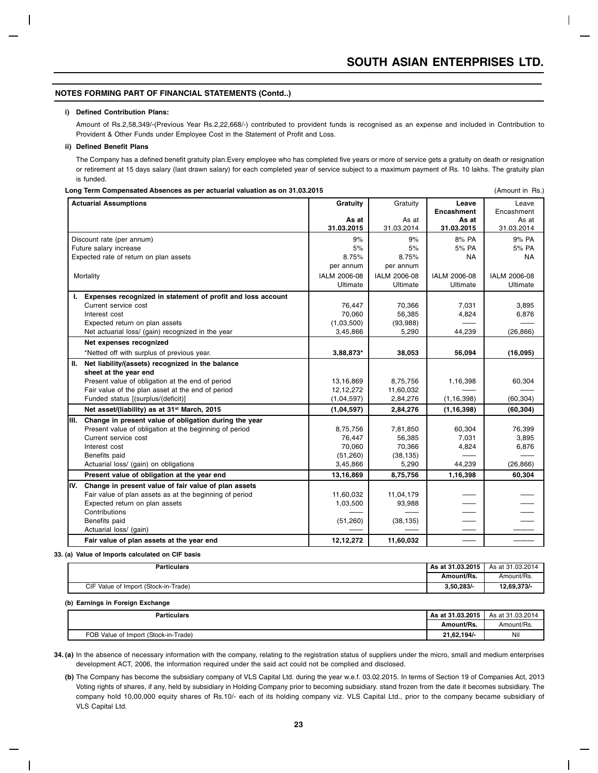## **NOTES FORMING PART OF FINANCIAL STATEMENTS (Contd..)**

## **i) Defined Contribution Plans:**

Amount of Rs.2,58,349/-(Previous Year Rs.2,22,668/-) contributed to provident funds is recognised as an expense and included in Contribution to Provident & Other Funds under Employee Cost in the Statement of Profit and Loss.

#### **ii) Defined Benefit Plans**

The Company has a defined benefit gratuity plan.Every employee who has completed five years or more of service gets a gratuity on death or resignation or retirement at 15 days salary (last drawn salary) for each completed year of service subject to a maximum payment of Rs. 10 lakhs. The gratuity plan is funded.

#### Long Term Compensated Absences as per actuarial valuation as on 31.03.2015 **1996 (Amount in Rs.)** (Amount in Rs.)

| <b>Actuarial Assumptions</b>                                 | Gratuity            | Gratuity            | Leave               | Leave               |
|--------------------------------------------------------------|---------------------|---------------------|---------------------|---------------------|
|                                                              |                     |                     | <b>Encashment</b>   | Encashment          |
|                                                              | As at<br>31.03.2015 | As at<br>31.03.2014 | As at<br>31.03.2015 | As at<br>31.03.2014 |
|                                                              |                     |                     |                     |                     |
| Discount rate (per annum)                                    | 9%                  | 9%                  | 8% PA               | 9% PA               |
| Future salary increase                                       | 5%                  | 5%                  | 5% PA               | 5% PA               |
| Expected rate of return on plan assets                       | 8.75%               | 8.75%               | <b>NA</b>           | <b>NA</b>           |
|                                                              | per annum           | per annum           |                     |                     |
| Mortality                                                    | IALM 2006-08        | IALM 2006-08        | IALM 2006-08        | IALM 2006-08        |
|                                                              | Ultimate            | Ultimate            | Ultimate            | Ultimate            |
| Expenses recognized in statement of profit and loss account  |                     |                     |                     |                     |
| Current service cost                                         | 76,447              | 70,366              | 7,031               | 3,895               |
| Interest cost                                                | 70,060              | 56,385              | 4,824               | 6,876               |
| Expected return on plan assets                               | (1,03,500)          | (93,988)            |                     |                     |
| Net actuarial loss/ (gain) recognized in the year            | 3,45,866            | 5,290               | 44,239              | (26, 866)           |
| Net expenses recognized                                      |                     |                     |                     |                     |
| *Netted off with surplus of previous year.                   | 3,88,873*           | 38,053              | 56,094              | (16,095)            |
| Net liability/(assets) recognized in the balance<br>Ш.       |                     |                     |                     |                     |
| sheet at the year end                                        |                     |                     |                     |                     |
| Present value of obligation at the end of period             | 13,16,869           | 8,75,756            | 1,16,398            | 60,304              |
| Fair value of the plan asset at the end of period            | 12, 12, 272         | 11,60,032           |                     |                     |
| Funded status [(surplus/(deficit)]                           | (1,04,597)          | 2,84,276            | (1, 16, 398)        | (60, 304)           |
| Net asset/(liability) as at 31 <sup>st</sup> March, 2015     | (1,04,597)          | 2,84,276            | (1, 16, 398)        | (60, 304)           |
| Iш.<br>Change in present value of obligation during the year |                     |                     |                     |                     |
| Present value of obligation at the beginning of period       | 8,75,756            | 7,81,850            | 60,304              | 76,399              |
| Current service cost                                         | 76,447              | 56,385              | 7,031               | 3,895               |
| Interest cost                                                | 70,060              | 70,366              | 4,824               | 6,876               |
| Benefits paid                                                | (51, 260)           | (38, 135)           |                     |                     |
| Actuarial loss/ (gain) on obligations                        | 3,45,866            | 5,290               | 44,239              | (26, 866)           |
| Present value of obligation at the year end                  | 13,16,869           | 8,75,756            | 1,16,398            | 60,304              |
| lıv.<br>Change in present value of fair value of plan assets |                     |                     |                     |                     |
| Fair value of plan assets as at the beginning of period      | 11,60,032           | 11,04,179           |                     |                     |
| Expected return on plan assets                               | 1,03,500            | 93,988              |                     |                     |
| Contributions                                                |                     |                     |                     |                     |
| Benefits paid                                                | (51, 260)           | (38, 135)           |                     |                     |
| Actuarial loss/ (gain)                                       |                     |                     |                     |                     |
| Fair value of plan assets at the year end                    | 12, 12, 272         | 11,60,032           |                     |                     |

**33. (a) Value of Imports calculated on CIF basis**

| Particulars                          | As at 31.03.2015 | As at 31.03.2014 |
|--------------------------------------|------------------|------------------|
|                                      | Amount/Rs.       | Amount/Rs.       |
| CIF Value of Import (Stock-in-Trade) | 3,50,283/        | 12,69,373/-      |

**(b) Earnings in Foreign Exchange**

| <b>Particulars</b>                   | As at 31.03.2015 | As at 31.03.2014 |
|--------------------------------------|------------------|------------------|
|                                      | Amount/Rs.       | Amount/Rs.       |
| FOB Value of Import (Stock-in-Trade) | 21,62,194/       | Nil              |

**34. (a)** In the absence of necessary information with the company, relating to the registration status of suppliers under the micro, small and medium enterprises development ACT, 2006, the information required under the said act could not be complied and disclosed.

**(b)** The Company has become the subsidiary company of VLS Capital Ltd. during the year w.e.f. 03.02.2015. In terms of Section 19 of Companies Act, 2013 Voting rights of shares, if any, held by subsidiary in Holding Company prior to becoming subsidiary. stand frozen from the date it becomes subsidiary. The company hold 10,00,000 equity shares of Rs.10/- each of its holding company viz. VLS Capital Ltd., prior to the company became subsidiary of VLS Capital Ltd.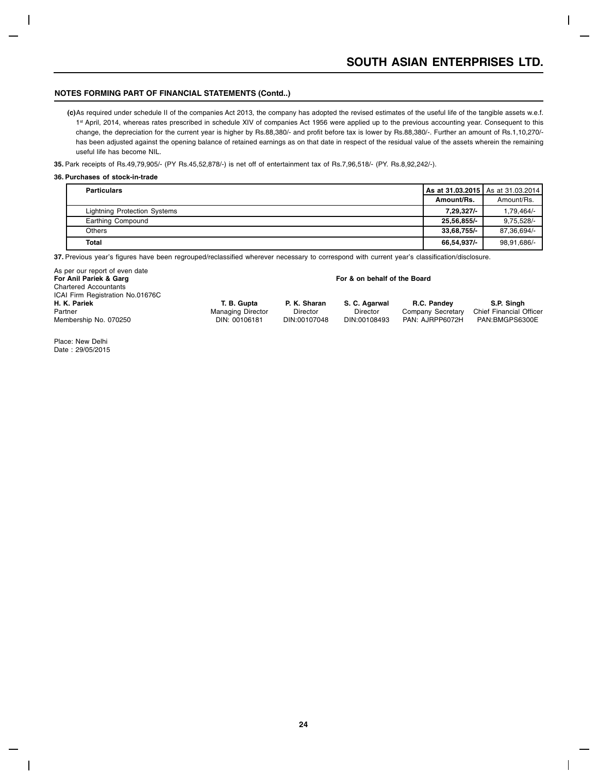$\mathbf{I}$ 

## **NOTES FORMING PART OF FINANCIAL STATEMENTS (Contd..)**

 **(c)**As required under schedule II of the companies Act 2013, the company has adopted the revised estimates of the useful life of the tangible assets w.e.f. 1st April, 2014, whereas rates prescribed in schedule XIV of companies Act 1956 were applied up to the previous accounting year. Consequent to this change, the depreciation for the current year is higher by Rs.88,380/- and profit before tax is lower by Rs.88,380/-. Further an amount of Rs.1,10,270/ has been adjusted against the opening balance of retained earnings as on that date in respect of the residual value of the assets wherein the remaining useful life has become NIL.

**35.** Park receipts of Rs.49,79,905/- (PY Rs.45,52,878/-) is net off of entertainment tax of Rs.7,96,518/- (PY. Rs.8,92,242/-).

## **36. Purchases of stock-in-trade**

| <b>Particulars</b>           |             | As at 31.03.2015   As at 31.03.2014 |
|------------------------------|-------------|-------------------------------------|
|                              | Amount/Rs.  | Amount/Rs.                          |
| Lightning Protection Systems | 7,29,327/-  | 1,79,464/-                          |
| Earthing Compound            | 25.56.855/- | $9,75,528/-$                        |
| Others                       | 33.68.755/- | 87,36,694/-                         |
| Total                        | 66,54,937/- | 98.91.686/-                         |

**37.** Previous year's figures have been regrouped/reclassified wherever necessary to correspond with current year's classification/disclosure.

| As per our report of even date                         |                              |                   |                                |
|--------------------------------------------------------|------------------------------|-------------------|--------------------------------|
| For Anil Pariek & Garg                                 | For & on behalf of the Board |                   |                                |
| <b>Chartered Accountants</b>                           |                              |                   |                                |
| ICAI Firm Registration No.01676C                       |                              |                   |                                |
| H. K. Pariek<br>T. B. Gupta<br>P. K. Sharan            | S. C. Agarwal                | R.C. Pandey       | S.P. Singh                     |
| Partner<br><b>Managing Director</b><br>Director        | Director                     | Company Secretary | <b>Chief Financial Officer</b> |
| Membership No. 070250<br>DIN:00107048<br>DIN: 00106181 | DIN:00108493                 | PAN: AJRPP6072H   | PAN:BMGPS6300E                 |

Place: New Delhi Date : 29/05/2015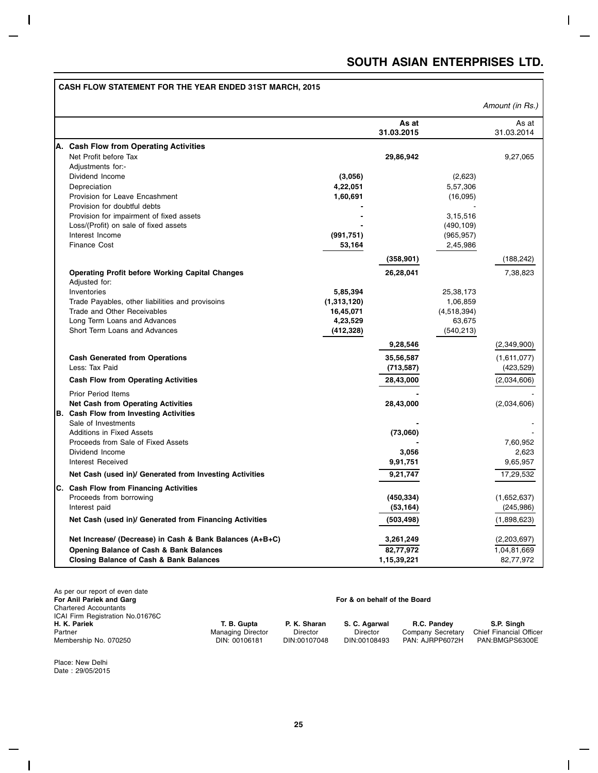$\mathbf l$ 

## **CASH FLOW STATEMENT FOR THE YEAR ENDED 31ST MARCH, 2015**

|                                                                                                                                                                                  |                                                                |                                       |                                                              | Amount (in Rs.)                         |
|----------------------------------------------------------------------------------------------------------------------------------------------------------------------------------|----------------------------------------------------------------|---------------------------------------|--------------------------------------------------------------|-----------------------------------------|
|                                                                                                                                                                                  |                                                                | As at<br>31.03.2015                   |                                                              | As at<br>31.03.2014                     |
| A. Cash Flow from Operating Activities<br>Net Profit before Tax                                                                                                                  |                                                                | 29,86,942                             |                                                              | 9,27,065                                |
| Adjustments for:-<br>Dividend Income<br>Depreciation<br>Provision for Leave Encashment<br>Provision for doubtful debts                                                           | (3,056)<br>4,22,051<br>1,60,691                                |                                       | (2,623)<br>5,57,306<br>(16,095)                              |                                         |
| Provision for impairment of fixed assets<br>Loss/(Profit) on sale of fixed assets<br>Interest Income<br><b>Finance Cost</b>                                                      | (991, 751)<br>53,164                                           |                                       | 3,15,516<br>(490, 109)<br>(965, 957)<br>2,45,986             |                                         |
| <b>Operating Profit before Working Capital Changes</b>                                                                                                                           |                                                                | (358, 901)<br>26,28,041               |                                                              | (188, 242)<br>7,38,823                  |
| Adjusted for:<br>Inventories<br>Trade Payables, other liabilities and provisoins<br>Trade and Other Receivables<br>Long Term Loans and Advances<br>Short Term Loans and Advances | 5,85,394<br>(1,313,120)<br>16,45,071<br>4,23,529<br>(412, 328) |                                       | 25,38,173<br>1,06,859<br>(4,518,394)<br>63,675<br>(540, 213) |                                         |
| <b>Cash Generated from Operations</b><br>Less: Tax Paid                                                                                                                          |                                                                | 9,28,546<br>35,56,587                 |                                                              | (2,349,900)<br>(1,611,077)              |
| <b>Cash Flow from Operating Activities</b>                                                                                                                                       |                                                                | (713, 587)<br>28,43,000               |                                                              | (423, 529)<br>(2,034,606)               |
| <b>Prior Period Items</b><br><b>Net Cash from Operating Activities</b><br>B. Cash Flow from Investing Activities                                                                 |                                                                | 28,43,000                             |                                                              | (2,034,606)                             |
| Sale of Investments<br>Additions in Fixed Assets<br>Proceeds from Sale of Fixed Assets<br>Dividend Income<br>Interest Received                                                   |                                                                | (73,060)<br>3,056<br>9,91,751         |                                                              | 7,60,952<br>2,623<br>9,65,957           |
| Net Cash (used in)/ Generated from Investing Activities                                                                                                                          |                                                                | 9,21,747                              |                                                              | 17,29,532                               |
| C. Cash Flow from Financing Activities<br>Proceeds from borrowing<br>Interest paid                                                                                               |                                                                | (450,334)<br>(53, 164)                |                                                              | (1,652,637)<br>(245, 986)               |
| Net Cash (used in)/ Generated from Financing Activities                                                                                                                          |                                                                | (503, 498)                            |                                                              | (1,898,623)                             |
| Net Increase/ (Decrease) in Cash & Bank Balances (A+B+C)<br><b>Opening Balance of Cash &amp; Bank Balances</b><br><b>Closing Balance of Cash &amp; Bank Balances</b>             |                                                                | 3,261,249<br>82,77,972<br>1,15,39,221 |                                                              | (2,203,697)<br>1,04,81,669<br>82,77,972 |

As per our report of even date<br>For Anil Pariek and Garg Chartered Accountants ICAI Firm Registration No.01676C<br>H. K. Pariek **H. K. Pariek T. B. Gupta P. K. Sharan S. C. Agarwal R.C. Pandey S.P. Singh** Partner Managing Director Director Director Company Secretary Chief Financial Officer Membership No. 070250 DIN: 00106181 DIN:00107048 DIN:00108493 PAN: AJRPP6072H PAN:BMGPS6300E

For & on behalf of the Board

 $\mathbf{I}$ 

Place: New Delhi Date : 29/05/2015

I